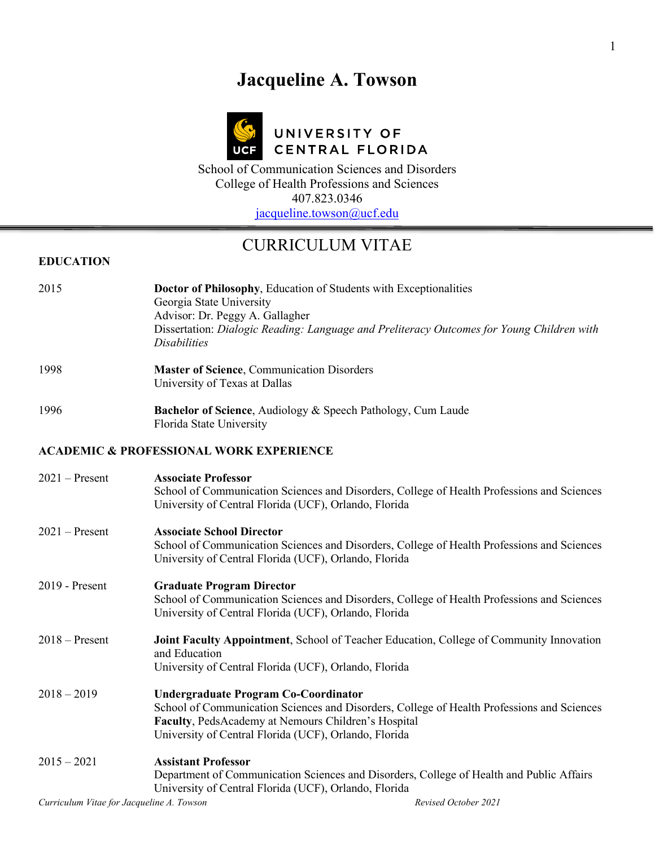# **Jacqueline A. Towson**



# UNIVERSITY OF CENTRAL FLORIDA

School of Communication Sciences and Disorders College of Health Professions and Sciences 407.823.0346 [jacqueline.towson@ucf.edu](mailto:jacqueline.towson@ucf.edu)

# CURRICULUM VITAE

## **EDUCATION**

| 2015                                      | Doctor of Philosophy, Education of Students with Exceptionalities<br>Georgia State University                                                                                                                                                             |                      |
|-------------------------------------------|-----------------------------------------------------------------------------------------------------------------------------------------------------------------------------------------------------------------------------------------------------------|----------------------|
|                                           | Advisor: Dr. Peggy A. Gallagher<br>Dissertation: Dialogic Reading: Language and Preliteracy Outcomes for Young Children with<br><b>Disabilities</b>                                                                                                       |                      |
| 1998                                      | <b>Master of Science, Communication Disorders</b><br>University of Texas at Dallas                                                                                                                                                                        |                      |
| 1996                                      | Bachelor of Science, Audiology & Speech Pathology, Cum Laude<br>Florida State University                                                                                                                                                                  |                      |
|                                           | <b>ACADEMIC &amp; PROFESSIONAL WORK EXPERIENCE</b>                                                                                                                                                                                                        |                      |
| $2021 -$ Present                          | <b>Associate Professor</b><br>School of Communication Sciences and Disorders, College of Health Professions and Sciences<br>University of Central Florida (UCF), Orlando, Florida                                                                         |                      |
| $2021 -$ Present                          | <b>Associate School Director</b><br>School of Communication Sciences and Disorders, College of Health Professions and Sciences<br>University of Central Florida (UCF), Orlando, Florida                                                                   |                      |
| 2019 - Present                            | <b>Graduate Program Director</b><br>School of Communication Sciences and Disorders, College of Health Professions and Sciences<br>University of Central Florida (UCF), Orlando, Florida                                                                   |                      |
| $2018 -$ Present                          | Joint Faculty Appointment, School of Teacher Education, College of Community Innovation<br>and Education<br>University of Central Florida (UCF), Orlando, Florida                                                                                         |                      |
| $2018 - 2019$                             | <b>Undergraduate Program Co-Coordinator</b><br>School of Communication Sciences and Disorders, College of Health Professions and Sciences<br>Faculty, PedsAcademy at Nemours Children's Hospital<br>University of Central Florida (UCF), Orlando, Florida |                      |
| $2015 - 2021$                             | <b>Assistant Professor</b><br>Department of Communication Sciences and Disorders, College of Health and Public Affairs<br>University of Central Florida (UCF), Orlando, Florida                                                                           |                      |
| Curriculum Vitae for Jacqueline A. Towson |                                                                                                                                                                                                                                                           | Revised October 2021 |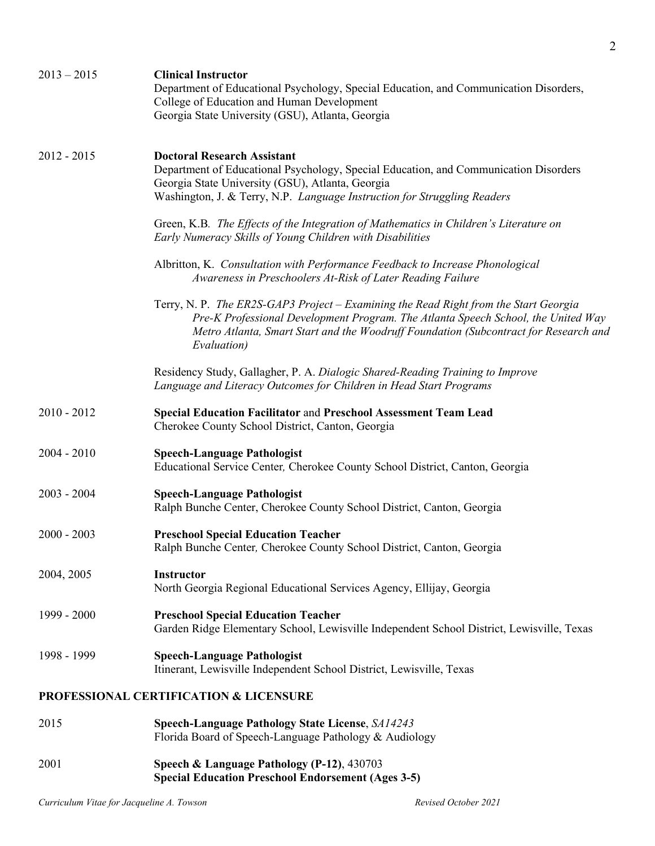| $2013 - 2015$ | <b>Clinical Instructor</b><br>Department of Educational Psychology, Special Education, and Communication Disorders,<br>College of Education and Human Development<br>Georgia State University (GSU), Atlanta, Georgia                                                            |
|---------------|----------------------------------------------------------------------------------------------------------------------------------------------------------------------------------------------------------------------------------------------------------------------------------|
| $2012 - 2015$ | <b>Doctoral Research Assistant</b><br>Department of Educational Psychology, Special Education, and Communication Disorders<br>Georgia State University (GSU), Atlanta, Georgia<br>Washington, J. & Terry, N.P. Language Instruction for Struggling Readers                       |
|               | Green, K.B. The Effects of the Integration of Mathematics in Children's Literature on<br>Early Numeracy Skills of Young Children with Disabilities                                                                                                                               |
|               | Albritton, K. Consultation with Performance Feedback to Increase Phonological<br>Awareness in Preschoolers At-Risk of Later Reading Failure                                                                                                                                      |
|               | Terry, N. P. The ER2S-GAP3 Project – Examining the Read Right from the Start Georgia<br>Pre-K Professional Development Program. The Atlanta Speech School, the United Way<br>Metro Atlanta, Smart Start and the Woodruff Foundation (Subcontract for Research and<br>Evaluation) |
|               | Residency Study, Gallagher, P. A. Dialogic Shared-Reading Training to Improve<br>Language and Literacy Outcomes for Children in Head Start Programs                                                                                                                              |
| $2010 - 2012$ | <b>Special Education Facilitator and Preschool Assessment Team Lead</b><br>Cherokee County School District, Canton, Georgia                                                                                                                                                      |
| $2004 - 2010$ | <b>Speech-Language Pathologist</b><br>Educational Service Center, Cherokee County School District, Canton, Georgia                                                                                                                                                               |
| $2003 - 2004$ | <b>Speech-Language Pathologist</b><br>Ralph Bunche Center, Cherokee County School District, Canton, Georgia                                                                                                                                                                      |
| $2000 - 2003$ | <b>Preschool Special Education Teacher</b><br>Ralph Bunche Center, Cherokee County School District, Canton, Georgia                                                                                                                                                              |
| 2004, 2005    | Instructor<br>North Georgia Regional Educational Services Agency, Ellijay, Georgia                                                                                                                                                                                               |
| 1999 - 2000   | <b>Preschool Special Education Teacher</b><br>Garden Ridge Elementary School, Lewisville Independent School District, Lewisville, Texas                                                                                                                                          |
| 1998 - 1999   | <b>Speech-Language Pathologist</b><br>Itinerant, Lewisville Independent School District, Lewisville, Texas                                                                                                                                                                       |
|               | PROFESSIONAL CERTIFICATION & LICENSURE                                                                                                                                                                                                                                           |
| 2015          | <b>Speech-Language Pathology State License, SA14243</b><br>Florida Board of Speech-Language Pathology & Audiology                                                                                                                                                                |
| 2001          | Speech & Language Pathology (P-12), 430703<br><b>Special Education Preschool Endorsement (Ages 3-5)</b>                                                                                                                                                                          |
|               |                                                                                                                                                                                                                                                                                  |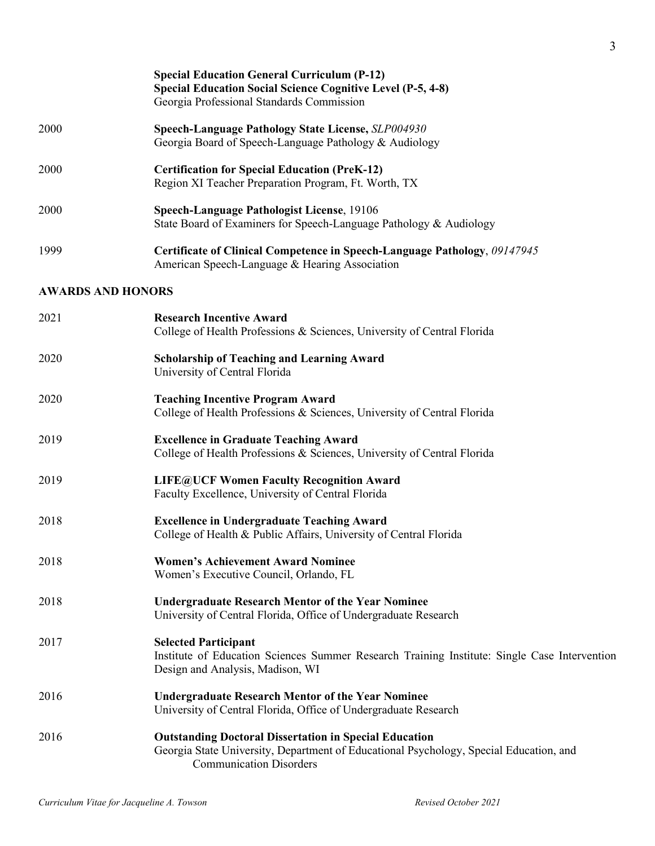|                          | <b>Special Education General Curriculum (P-12)</b><br><b>Special Education Social Science Cognitive Level (P-5, 4-8)</b><br>Georgia Professional Standards Commission                     |
|--------------------------|-------------------------------------------------------------------------------------------------------------------------------------------------------------------------------------------|
| 2000                     | Speech-Language Pathology State License, SLP004930<br>Georgia Board of Speech-Language Pathology & Audiology                                                                              |
| 2000                     | <b>Certification for Special Education (PreK-12)</b><br>Region XI Teacher Preparation Program, Ft. Worth, TX                                                                              |
| 2000                     | Speech-Language Pathologist License, 19106<br>State Board of Examiners for Speech-Language Pathology & Audiology                                                                          |
| 1999                     | Certificate of Clinical Competence in Speech-Language Pathology, 09147945<br>American Speech-Language & Hearing Association                                                               |
| <b>AWARDS AND HONORS</b> |                                                                                                                                                                                           |
| 2021                     | <b>Research Incentive Award</b><br>College of Health Professions & Sciences, University of Central Florida                                                                                |
| 2020                     | <b>Scholarship of Teaching and Learning Award</b><br>University of Central Florida                                                                                                        |
| 2020                     | <b>Teaching Incentive Program Award</b><br>College of Health Professions & Sciences, University of Central Florida                                                                        |
| 2019                     | <b>Excellence in Graduate Teaching Award</b><br>College of Health Professions & Sciences, University of Central Florida                                                                   |
| 2019                     | <b>LIFE@UCF Women Faculty Recognition Award</b><br>Faculty Excellence, University of Central Florida                                                                                      |
| 2018                     | <b>Excellence in Undergraduate Teaching Award</b><br>College of Health & Public Affairs, University of Central Florida                                                                    |
| 2018                     | <b>Women's Achievement Award Nominee</b><br>Women's Executive Council, Orlando, FL                                                                                                        |
| 2018                     | <b>Undergraduate Research Mentor of the Year Nominee</b><br>University of Central Florida, Office of Undergraduate Research                                                               |
| 2017                     | <b>Selected Participant</b><br>Institute of Education Sciences Summer Research Training Institute: Single Case Intervention<br>Design and Analysis, Madison, WI                           |
| 2016                     | <b>Undergraduate Research Mentor of the Year Nominee</b><br>University of Central Florida, Office of Undergraduate Research                                                               |
| 2016                     | <b>Outstanding Doctoral Dissertation in Special Education</b><br>Georgia State University, Department of Educational Psychology, Special Education, and<br><b>Communication Disorders</b> |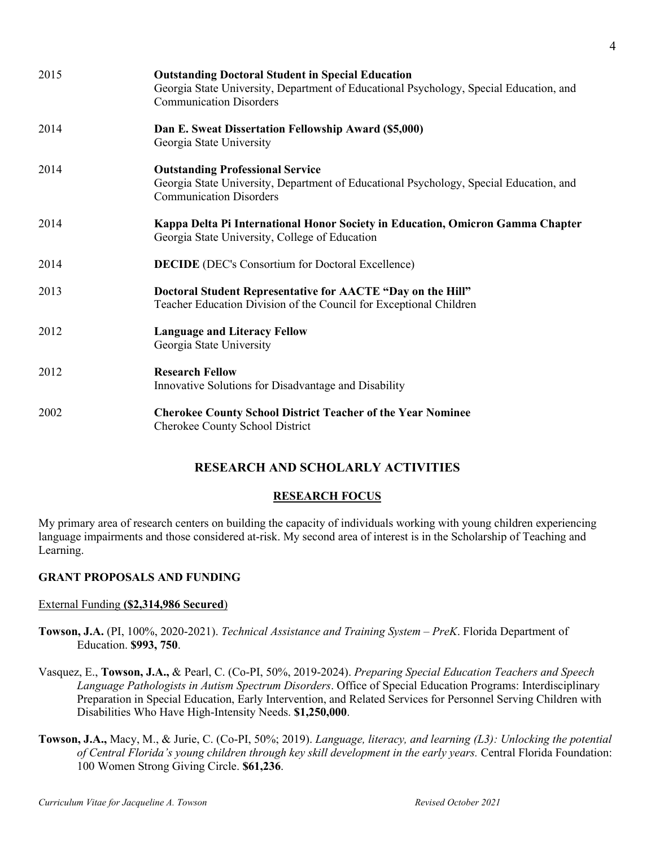| 2015 | <b>Outstanding Doctoral Student in Special Education</b><br>Georgia State University, Department of Educational Psychology, Special Education, and<br><b>Communication Disorders</b> |
|------|--------------------------------------------------------------------------------------------------------------------------------------------------------------------------------------|
| 2014 | Dan E. Sweat Dissertation Fellowship Award (\$5,000)<br>Georgia State University                                                                                                     |
| 2014 | <b>Outstanding Professional Service</b><br>Georgia State University, Department of Educational Psychology, Special Education, and<br><b>Communication Disorders</b>                  |
| 2014 | Kappa Delta Pi International Honor Society in Education, Omicron Gamma Chapter<br>Georgia State University, College of Education                                                     |
| 2014 | <b>DECIDE</b> (DEC's Consortium for Doctoral Excellence)                                                                                                                             |
| 2013 | Doctoral Student Representative for AACTE "Day on the Hill"<br>Teacher Education Division of the Council for Exceptional Children                                                    |
| 2012 | <b>Language and Literacy Fellow</b><br>Georgia State University                                                                                                                      |
| 2012 | <b>Research Fellow</b><br>Innovative Solutions for Disadvantage and Disability                                                                                                       |
| 2002 | <b>Cherokee County School District Teacher of the Year Nominee</b><br>Cherokee County School District                                                                                |

# **RESEARCH AND SCHOLARLY ACTIVITIES**

# **RESEARCH FOCUS**

My primary area of research centers on building the capacity of individuals working with young children experiencing language impairments and those considered at-risk. My second area of interest is in the Scholarship of Teaching and Learning.

# **GRANT PROPOSALS AND FUNDING**

# External Funding **(\$2,314,986 Secured**)

- **Towson, J.A.** (PI, 100%, 2020-2021). *Technical Assistance and Training System – PreK*. Florida Department of Education. **\$993, 750**.
- Vasquez, E., **Towson, J.A.,** & Pearl, C. (Co-PI, 50%, 2019-2024). *Preparing Special Education Teachers and Speech Language Pathologists in Autism Spectrum Disorders*. Office of Special Education Programs: Interdisciplinary Preparation in Special Education, Early Intervention, and Related Services for Personnel Serving Children with Disabilities Who Have High-Intensity Needs. **\$1,250,000**.
- **Towson, J.A.,** Macy, M., & Jurie, C. (Co-PI, 50%; 2019). *Language, literacy, and learning (L3): Unlocking the potential of Central Florida's young children through key skill development in the early years.* Central Florida Foundation: 100 Women Strong Giving Circle. **\$61,236**.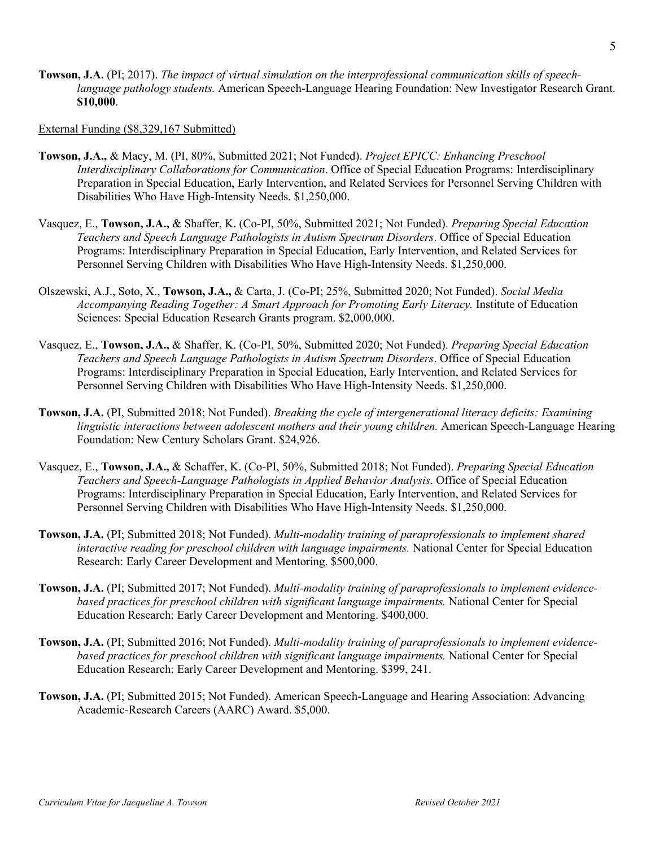**Towson, J.A.** (PI; 2017). *The impact of virtual simulation on the interprofessional communication skills of speechlanguage pathology students.* American Speech-Language Hearing Foundation: New Investigator Research Grant. **\$10,000**.

#### External Funding (\$8,329,167 Submitted)

- **Towson, J.A.,** & Macy, M. (PI, 80%, Submitted 2021; Not Funded). *Project EPICC: Enhancing Preschool Interdisciplinary Collaborations for Communication*. Office of Special Education Programs: Interdisciplinary Preparation in Special Education, Early Intervention, and Related Services for Personnel Serving Children with Disabilities Who Have High-Intensity Needs. \$1,250,000.
- Vasquez, E., **Towson, J.A.,** & Shaffer, K. (Co-PI, 50%, Submitted 2021; Not Funded). *Preparing Special Education Teachers and Speech Language Pathologists in Autism Spectrum Disorders*. Office of Special Education Programs: Interdisciplinary Preparation in Special Education, Early Intervention, and Related Services for Personnel Serving Children with Disabilities Who Have High-Intensity Needs. \$1,250,000.
- Olszewski, A.J., Soto, X., **Towson, J.A.,** & Carta, J. (Co-PI; 25%, Submitted 2020; Not Funded). *Social Media*  Accompanying Reading Together: A Smart Approach for Promoting Early Literacy. Institute of Education Sciences: Special Education Research Grants program. \$2,000,000.
- Vasquez, E., **Towson, J.A.,** & Shaffer, K. (Co-PI, 50%, Submitted 2020; Not Funded). *Preparing Special Education Teachers and Speech Language Pathologists in Autism Spectrum Disorders*. Office of Special Education Programs: Interdisciplinary Preparation in Special Education, Early Intervention, and Related Services for Personnel Serving Children with Disabilities Who Have High-Intensity Needs. \$1,250,000.
- **Towson, J.A.** (PI, Submitted 2018; Not Funded). *Breaking the cycle of intergenerational literacy deficits: Examining linguistic interactions between adolescent mothers and their young children.* American Speech-Language Hearing Foundation: New Century Scholars Grant. \$24,926.
- Vasquez, E., **Towson, J.A.,** & Schaffer, K. (Co-PI, 50%, Submitted 2018; Not Funded). *Preparing Special Education Teachers and Speech-Language Pathologists in Applied Behavior Analysis*. Office of Special Education Programs: Interdisciplinary Preparation in Special Education, Early Intervention, and Related Services for Personnel Serving Children with Disabilities Who Have High-Intensity Needs. \$1,250,000.
- **Towson, J.A.** (PI; Submitted 2018; Not Funded). *Multi-modality training of paraprofessionals to implement shared interactive reading for preschool children with language impairments.* National Center for Special Education Research: Early Career Development and Mentoring. \$500,000.
- **Towson, J.A.** (PI; Submitted 2017; Not Funded). *Multi-modality training of paraprofessionals to implement evidencebased practices for preschool children with significant language impairments.* National Center for Special Education Research: Early Career Development and Mentoring. \$400,000.
- **Towson, J.A.** (PI; Submitted 2016; Not Funded). *Multi-modality training of paraprofessionals to implement evidencebased practices for preschool children with significant language impairments.* National Center for Special Education Research: Early Career Development and Mentoring. \$399, 241.
- **Towson, J.A.** (PI; Submitted 2015; Not Funded). American Speech-Language and Hearing Association: Advancing Academic-Research Careers (AARC) Award. \$5,000.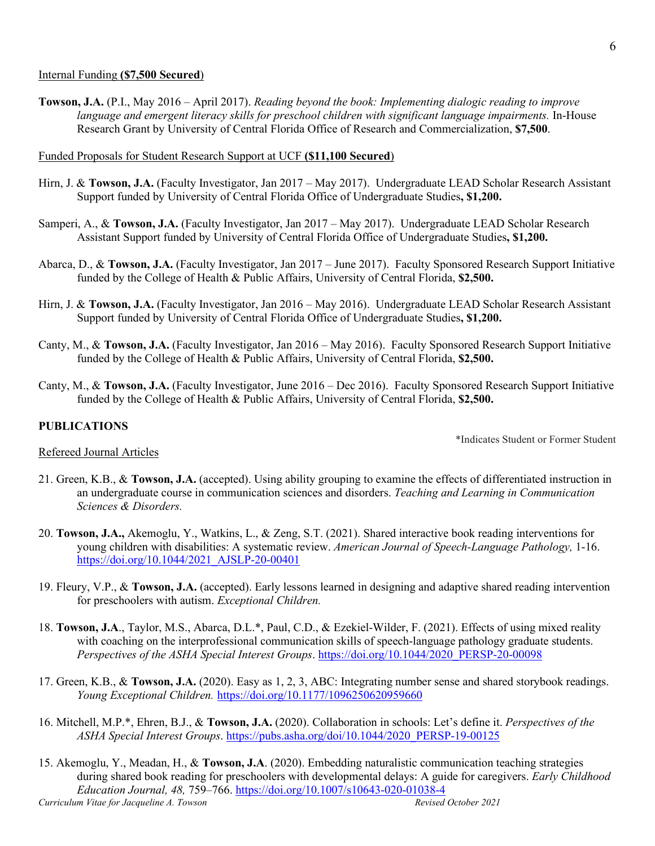#### Internal Funding **(\$7,500 Secured**)

**Towson, J.A.** (P.I., May 2016 – April 2017). *Reading beyond the book: Implementing dialogic reading to improve language and emergent literacy skills for preschool children with significant language impairments.* In-House Research Grant by University of Central Florida Office of Research and Commercialization, **\$7,500**.

#### Funded Proposals for Student Research Support at UCF **(\$11,100 Secured**)

- Hirn, J. & **Towson, J.A.** (Faculty Investigator, Jan 2017 May 2017). Undergraduate LEAD Scholar Research Assistant Support funded by University of Central Florida Office of Undergraduate Studies**, \$1,200.**
- Samperi, A., & **Towson, J.A.** (Faculty Investigator, Jan 2017 May 2017). Undergraduate LEAD Scholar Research Assistant Support funded by University of Central Florida Office of Undergraduate Studies**, \$1,200.**
- Abarca, D., & **Towson, J.A.** (Faculty Investigator, Jan 2017 June 2017). Faculty Sponsored Research Support Initiative funded by the College of Health & Public Affairs, University of Central Florida, **\$2,500.**
- Hirn, J. & **Towson, J.A.** (Faculty Investigator, Jan 2016 May 2016). Undergraduate LEAD Scholar Research Assistant Support funded by University of Central Florida Office of Undergraduate Studies**, \$1,200.**
- Canty, M., & **Towson, J.A.** (Faculty Investigator, Jan 2016 May 2016). Faculty Sponsored Research Support Initiative funded by the College of Health & Public Affairs, University of Central Florida, **\$2,500.**
- Canty, M., & **Towson, J.A.** (Faculty Investigator, June 2016 Dec 2016). Faculty Sponsored Research Support Initiative funded by the College of Health & Public Affairs, University of Central Florida, **\$2,500.**

### **PUBLICATIONS**

Refereed Journal Articles

\*Indicates Student or Former Student

- 21. Green, K.B., & **Towson, J.A.** (accepted). Using ability grouping to examine the effects of differentiated instruction in an undergraduate course in communication sciences and disorders. *Teaching and Learning in Communication Sciences & Disorders.*
- 20. **Towson, J.A.,** Akemoglu, Y., Watkins, L., & Zeng, S.T. (2021). Shared interactive book reading interventions for young children with disabilities: A systematic review. *American Journal of Speech-Language Pathology,* 1-16. [https://doi.org/10.1044/2021\\_AJSLP-20-00401](https://doi.org/10.1044/2021_AJSLP-20-00401)
- 19. Fleury, V.P., & **Towson, J.A.** (accepted). Early lessons learned in designing and adaptive shared reading intervention for preschoolers with autism. *Exceptional Children.*
- 18. **Towson, J.A**., Taylor, M.S., Abarca, D.L.\*, Paul, C.D., & Ezekiel-Wilder, F. (2021). Effects of using mixed reality with coaching on the interprofessional communication skills of speech-language pathology graduate students. *Perspectives of the ASHA Special Interest Groups*. [https://doi.org/10.1044/2020\\_PERSP-20-00098](https://doi.org/10.1044/2020_PERSP-20-00098)
- 17. Green, K.B., & **Towson, J.A.** (2020). Easy as 1, 2, 3, ABC: Integrating number sense and shared storybook readings. *Young Exceptional Children.* [https://doi.org/10.1177/1096250620959660](https://doi.org/10.1177%2F1096250620959660)
- 16. Mitchell, M.P.\*, Ehren, B.J., & **Towson, J.A.** (2020). Collaboration in schools: Let's define it. *Perspectives of the ASHA Special Interest Groups*. [https://pubs.asha.org/doi/10.1044/2020\\_PERSP-19-00125](https://pubs.asha.org/doi/10.1044/2020_PERSP-19-00125)
- *Curriculum Vitae for Jacqueline A. Towson Revised October 2021* 15. Akemoglu, Y., Meadan, H., & **Towson, J.A**. (2020). Embedding naturalistic communication teaching strategies during shared book reading for preschoolers with developmental delays: A guide for caregivers. *Early Childhood Education Journal, 48,* 759–766. <https://doi.org/10.1007/s10643-020-01038-4>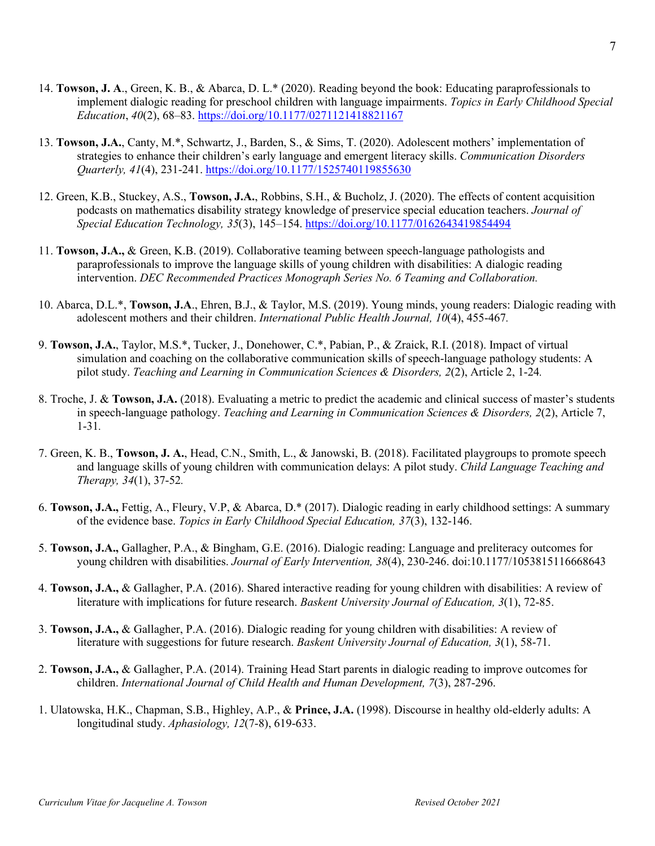- 14. **Towson, J. A**., Green, K. B., & Abarca, D. L.\* (2020). Reading beyond the book: Educating paraprofessionals to implement dialogic reading for preschool children with language impairments. *Topics in Early Childhood Special Education*, *40*(2), 68–83. [https://doi.org/10.1177/0271121418821167](https://nam02.safelinks.protection.outlook.com/?url=https%3A%2F%2Fdoi.org%2F10.1177%2F0271121418821167&data=02%7C01%7CJacqueline.Towson%40ucf.edu%7Cd238ed7bb8cd4002872f08d830a0e3a1%7Cbb932f15ef3842ba91fcf3c59d5dd1f1%7C0%7C0%7C637312814886965727&sdata=x49%2BqMNkBofkL39XmwYcnl%2FufriT7%2FkURRHt4VFX1JI%3D&reserved=0)
- 13. **Towson, J.A.**, Canty, M.\*, Schwartz, J., Barden, S., & Sims, T. (2020). Adolescent mothers' implementation of strategies to enhance their children's early language and emergent literacy skills. *Communication Disorders Quarterly, 41*(4), 231-241. <https://doi.org/10.1177/1525740119855630>
- 12. Green, K.B., Stuckey, A.S., **Towson, J.A.**, Robbins, S.H., & Bucholz, J. (2020). The effects of content acquisition podcasts on mathematics disability strategy knowledge of preservice special education teachers. *Journal of Special Education Technology, 35*(3), 145–154.<https://doi.org/10.1177/0162643419854494>
- 11. **Towson, J.A.,** & Green, K.B. (2019). Collaborative teaming between speech-language pathologists and paraprofessionals to improve the language skills of young children with disabilities: A dialogic reading intervention. *DEC Recommended Practices Monograph Series No. 6 Teaming and Collaboration.*
- 10. Abarca, D.L.\*, **Towson, J.A**., Ehren, B.J., & Taylor, M.S. (2019). Young minds, young readers: Dialogic reading with adolescent mothers and their children. *International Public Health Journal, 10*(4), 455-467*.*
- 9. **Towson, J.A.**, Taylor, M.S.\*, Tucker, J., Donehower, C.\*, Pabian, P., & Zraick, R.I. (2018). Impact of virtual simulation and coaching on the collaborative communication skills of speech-language pathology students: A pilot study. *Teaching and Learning in Communication Sciences & Disorders, 2*(2), Article 2, 1-24*.*
- 8. Troche, J. & **Towson, J.A.** (2018). Evaluating a metric to predict the academic and clinical success of master's students in speech-language pathology. *Teaching and Learning in Communication Sciences & Disorders, 2*(2), Article 7, 1-31*.*
- 7. Green, K. B., **Towson, J. A.**, Head, C.N., Smith, L., & Janowski, B. (2018). Facilitated playgroups to promote speech and language skills of young children with communication delays: A pilot study. *Child Language Teaching and Therapy, 34*(1), 37-52*.*
- 6. **Towson, J.A.,** Fettig, A., Fleury, V.P, & Abarca, D.\* (2017). Dialogic reading in early childhood settings: A summary of the evidence base. *Topics in Early Childhood Special Education, 37*(3), 132-146.
- 5. **Towson, J.A.,** Gallagher, P.A., & Bingham, G.E. (2016). Dialogic reading: Language and preliteracy outcomes for young children with disabilities. *Journal of Early Intervention, 38*(4), 230-246. doi:10.1177/1053815116668643
- 4. **Towson, J.A.,** & Gallagher, P.A. (2016). Shared interactive reading for young children with disabilities: A review of literature with implications for future research. *Baskent University Journal of Education, 3*(1), 72-85.
- 3. **Towson, J.A.,** & Gallagher, P.A. (2016). Dialogic reading for young children with disabilities: A review of literature with suggestions for future research. *Baskent University Journal of Education, 3*(1), 58-71.
- 2. **Towson, J.A.,** & Gallagher, P.A. (2014). Training Head Start parents in dialogic reading to improve outcomes for children. *International Journal of Child Health and Human Development, 7*(3), 287-296.
- 1. Ulatowska, H.K., Chapman, S.B., Highley, A.P., & **Prince, J.A.** (1998). Discourse in healthy old-elderly adults: A longitudinal study. *Aphasiology, 12*(7-8), 619-633.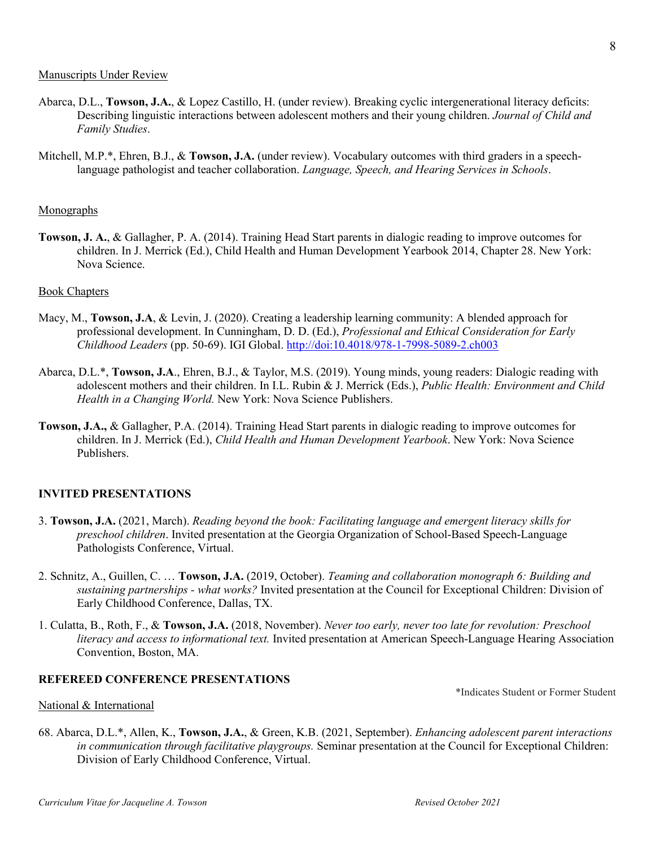- Abarca, D.L., **Towson, J.A.**, & Lopez Castillo, H. (under review). Breaking cyclic intergenerational literacy deficits: Describing linguistic interactions between adolescent mothers and their young children. *Journal of Child and Family Studies*.
- Mitchell, M.P.\*, Ehren, B.J., & **Towson, J.A.** (under review). Vocabulary outcomes with third graders in a speechlanguage pathologist and teacher collaboration. *Language, Speech, and Hearing Services in Schools*.

#### **Monographs**

**Towson, J. A.**, & Gallagher, P. A. (2014). Training Head Start parents in dialogic reading to improve outcomes for children. In J. Merrick (Ed.), Child Health and Human Development Yearbook 2014, Chapter 28. New York: Nova Science.

#### Book Chapters

- Macy, M., **Towson, J.A**, & Levin, J. (2020). Creating a leadership learning community: A blended approach for professional development. In Cunningham, D. D. (Ed.), *Professional and Ethical Consideration for Early Childhood Leaders* (pp. 50-69). IGI Global.<http://doi:10.4018/978-1-7998-5089-2.ch003>
- Abarca, D.L.\*, **Towson, J.A**., Ehren, B.J., & Taylor, M.S. (2019). Young minds, young readers: Dialogic reading with adolescent mothers and their children. In I.L. Rubin & J. Merrick (Eds.), *Public Health: Environment and Child Health in a Changing World.* New York: Nova Science Publishers.
- **Towson, J.A.,** & Gallagher, P.A. (2014). Training Head Start parents in dialogic reading to improve outcomes for children. In J. Merrick (Ed.), *Child Health and Human Development Yearbook*. New York: Nova Science Publishers.

#### **INVITED PRESENTATIONS**

- 3. **Towson, J.A.** (2021, March). *Reading beyond the book: Facilitating language and emergent literacy skills for preschool children*. Invited presentation at the Georgia Organization of School-Based Speech-Language Pathologists Conference, Virtual.
- 2. Schnitz, A., Guillen, C. … **Towson, J.A.** (2019, October). *Teaming and collaboration monograph 6: Building and sustaining partnerships - what works?* Invited presentation at the Council for Exceptional Children: Division of Early Childhood Conference, Dallas, TX.
- 1. Culatta, B., Roth, F., & **Towson, J.A.** (2018, November). *Never too early, never too late for revolution: Preschool literacy and access to informational text.* Invited presentation at American Speech-Language Hearing Association Convention, Boston, MA.

#### **REFEREED CONFERENCE PRESENTATIONS**

\*Indicates Student or Former Student

#### National & International

68. Abarca, D.L.\*, Allen, K., **Towson, J.A.**, & Green, K.B. (2021, September). *Enhancing adolescent parent interactions in communication through facilitative playgroups.* Seminar presentation at the Council for Exceptional Children: Division of Early Childhood Conference, Virtual.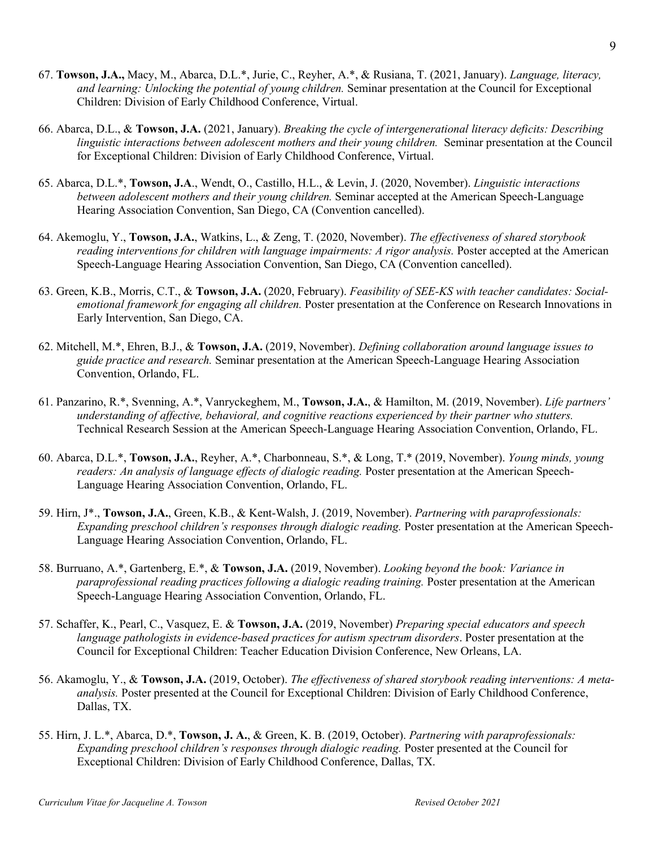- 67. **Towson, J.A.,** Macy, M., Abarca, D.L.\*, Jurie, C., Reyher, A.\*, & Rusiana, T. (2021, January). *Language, literacy, and learning: Unlocking the potential of young children.* Seminar presentation at the Council for Exceptional Children: Division of Early Childhood Conference, Virtual.
- 66. Abarca, D.L., & **Towson, J.A.** (2021, January). *Breaking the cycle of intergenerational literacy deficits: Describing linguistic interactions between adolescent mothers and their young children.* Seminar presentation at the Council for Exceptional Children: Division of Early Childhood Conference, Virtual.
- 65. Abarca, D.L.\*, **Towson, J.A**., Wendt, O., Castillo, H.L., & Levin, J. (2020, November). *Linguistic interactions between adolescent mothers and their young children.* Seminar accepted at the American Speech-Language Hearing Association Convention, San Diego, CA (Convention cancelled).
- 64. Akemoglu, Y., **Towson, J.A.**, Watkins, L., & Zeng, T. (2020, November). *The effectiveness of shared storybook reading interventions for children with language impairments: A rigor analysis.* Poster accepted at the American Speech-Language Hearing Association Convention, San Diego, CA (Convention cancelled).
- 63. Green, K.B., Morris, C.T., & **Towson, J.A.** (2020, February). *Feasibility of SEE-KS with teacher candidates: Socialemotional framework for engaging all children.* Poster presentation at the Conference on Research Innovations in Early Intervention, San Diego, CA.
- 62. Mitchell, M.\*, Ehren, B.J., & **Towson, J.A.** (2019, November). *Defining collaboration around language issues to guide practice and research.* Seminar presentation at the American Speech-Language Hearing Association Convention, Orlando, FL.
- 61. Panzarino, R.\*, Svenning, A.\*, Vanryckeghem, M., **Towson, J.A.**, & Hamilton, M. (2019, November). *Life partners' understanding of affective, behavioral, and cognitive reactions experienced by their partner who stutters.* Technical Research Session at the American Speech-Language Hearing Association Convention, Orlando, FL.
- 60. Abarca, D.L.\*, **Towson, J.A.**, Reyher, A.\*, Charbonneau, S.\*, & Long, T.\* (2019, November). *Young minds, young readers: An analysis of language effects of dialogic reading.* Poster presentation at the American Speech-Language Hearing Association Convention, Orlando, FL.
- 59. Hirn, J\*., **Towson, J.A.**, Green, K.B., & Kent-Walsh, J. (2019, November). *Partnering with paraprofessionals: Expanding preschool children's responses through dialogic reading.* Poster presentation at the American Speech-Language Hearing Association Convention, Orlando, FL.
- 58. Burruano, A.\*, Gartenberg, E.\*, & **Towson, J.A.** (2019, November). *Looking beyond the book: Variance in paraprofessional reading practices following a dialogic reading training.* Poster presentation at the American Speech-Language Hearing Association Convention, Orlando, FL.
- 57. Schaffer, K., Pearl, C., Vasquez, E. & **Towson, J.A.** (2019, November) *Preparing special educators and speech language pathologists in evidence-based practices for autism spectrum disorders*. Poster presentation at the Council for Exceptional Children: Teacher Education Division Conference, New Orleans, LA.
- 56. Akamoglu, Y., & **Towson, J.A.** (2019, October). *The effectiveness of shared storybook reading interventions: A metaanalysis.* Poster presented at the Council for Exceptional Children: Division of Early Childhood Conference, Dallas, TX.
- 55. Hirn, J. L.\*, Abarca, D.\*, **Towson, J. A.**, & Green, K. B. (2019, October). *Partnering with paraprofessionals: Expanding preschool children's responses through dialogic reading.* Poster presented at the Council for Exceptional Children: Division of Early Childhood Conference, Dallas, TX.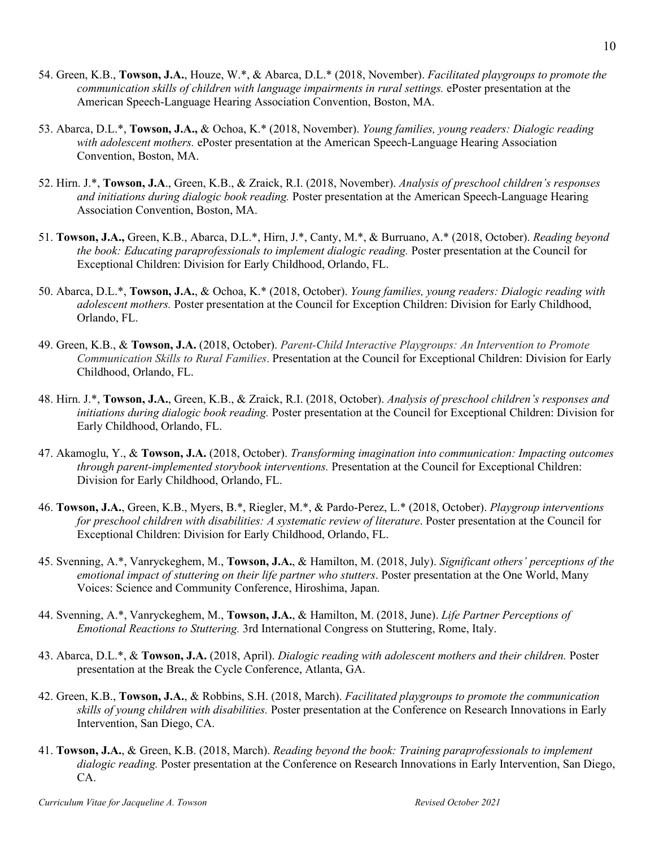- 54. Green, K.B., **Towson, J.A.**, Houze, W.\*, & Abarca, D.L.\* (2018, November). *Facilitated playgroups to promote the communication skills of children with language impairments in rural settings.* ePoster presentation at the American Speech-Language Hearing Association Convention, Boston, MA.
- 53. Abarca, D.L.\*, **Towson, J.A.,** & Ochoa, K.\* (2018, November). *Young families, young readers: Dialogic reading with adolescent mothers.* ePoster presentation at the American Speech-Language Hearing Association Convention, Boston, MA.
- 52. Hirn. J.\*, **Towson, J.A**., Green, K.B., & Zraick, R.I. (2018, November). *Analysis of preschool children's responses and initiations during dialogic book reading.* Poster presentation at the American Speech-Language Hearing Association Convention, Boston, MA.
- 51. **Towson, J.A.,** Green, K.B., Abarca, D.L.\*, Hirn, J.\*, Canty, M.\*, & Burruano, A.\* (2018, October). *Reading beyond the book: Educating paraprofessionals to implement dialogic reading.* Poster presentation at the Council for Exceptional Children: Division for Early Childhood, Orlando, FL.
- 50. Abarca, D.L.\*, **Towson, J.A.**, & Ochoa, K.\* (2018, October). *Young families, young readers: Dialogic reading with adolescent mothers.* Poster presentation at the Council for Exception Children: Division for Early Childhood, Orlando, FL.
- 49. Green, K.B., & **Towson, J.A.** (2018, October). *Parent-Child Interactive Playgroups: An Intervention to Promote Communication Skills to Rural Families*. Presentation at the Council for Exceptional Children: Division for Early Childhood, Orlando, FL.
- 48. Hirn. J.\*, **Towson, J.A.**, Green, K.B., & Zraick, R.I. (2018, October). *Analysis of preschool children's responses and initiations during dialogic book reading.* Poster presentation at the Council for Exceptional Children: Division for Early Childhood, Orlando, FL.
- 47. Akamoglu, Y., & **Towson, J.A.** (2018, October). *Transforming imagination into communication: Impacting outcomes through parent-implemented storybook interventions.* Presentation at the Council for Exceptional Children: Division for Early Childhood, Orlando, FL.
- 46. **Towson, J.A.**, Green, K.B., Myers, B.\*, Riegler, M.\*, & Pardo-Perez, L.\* (2018, October). *Playgroup interventions for preschool children with disabilities: A systematic review of literature*. Poster presentation at the Council for Exceptional Children: Division for Early Childhood, Orlando, FL.
- 45. Svenning, A.\*, Vanryckeghem, M., **Towson, J.A.**, & Hamilton, M. (2018, July). *Significant others' perceptions of the emotional impact of stuttering on their life partner who stutters*. Poster presentation at the One World, Many Voices: Science and Community Conference, Hiroshima, Japan.
- 44. Svenning, A.\*, Vanryckeghem, M., **Towson, J.A.**, & Hamilton, M. (2018, June). *Life Partner Perceptions of Emotional Reactions to Stuttering.* 3rd International Congress on Stuttering, Rome, Italy.
- 43. Abarca, D.L.\*, & **Towson, J.A.** (2018, April). *Dialogic reading with adolescent mothers and their children.* Poster presentation at the Break the Cycle Conference, Atlanta, GA.
- 42. Green, K.B., **Towson, J.A.**, & Robbins, S.H. (2018, March). *Facilitated playgroups to promote the communication skills of young children with disabilities.* Poster presentation at the Conference on Research Innovations in Early Intervention, San Diego, CA.
- 41. **Towson, J.A.**, & Green, K.B. (2018, March). *Reading beyond the book: Training paraprofessionals to implement dialogic reading.* Poster presentation at the Conference on Research Innovations in Early Intervention, San Diego, CA.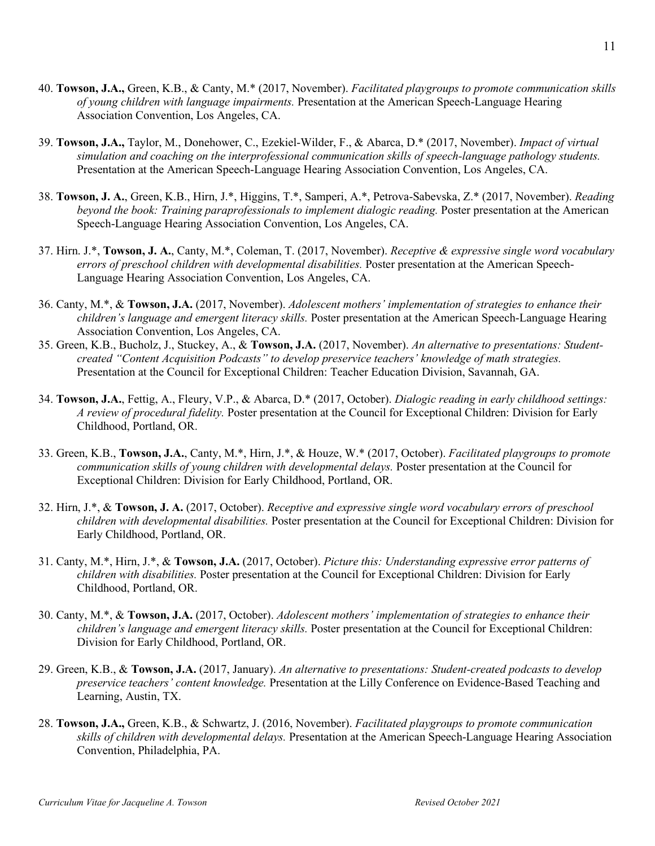- 40. **Towson, J.A.,** Green, K.B., & Canty, M.\* (2017, November). *Facilitated playgroups to promote communication skills of young children with language impairments.* Presentation at the American Speech-Language Hearing Association Convention, Los Angeles, CA.
- 39. **Towson, J.A.,** Taylor, M., Donehower, C., Ezekiel-Wilder, F., & Abarca, D.\* (2017, November). *Impact of virtual simulation and coaching on the interprofessional communication skills of speech-language pathology students.*  Presentation at the American Speech-Language Hearing Association Convention, Los Angeles, CA.
- 38. **Towson, J. A.**, Green, K.B., Hirn, J.\*, Higgins, T.\*, Samperi, A.\*, Petrova-Sabevska, Z.\* (2017, November). *Reading beyond the book: Training paraprofessionals to implement dialogic reading.* Poster presentation at the American Speech-Language Hearing Association Convention, Los Angeles, CA.
- 37. Hirn. J.\*, **Towson, J. A.**, Canty, M.\*, Coleman, T. (2017, November). *Receptive & expressive single word vocabulary errors of preschool children with developmental disabilities.* Poster presentation at the American Speech-Language Hearing Association Convention, Los Angeles, CA.
- 36. Canty, M.\*, & **Towson, J.A.** (2017, November). *Adolescent mothers' implementation of strategies to enhance their children's language and emergent literacy skills.* Poster presentation at the American Speech-Language Hearing Association Convention, Los Angeles, CA.
- 35. Green, K.B., Bucholz, J., Stuckey, A., & **Towson, J.A.** (2017, November). *An alternative to presentations: Studentcreated "Content Acquisition Podcasts" to develop preservice teachers' knowledge of math strategies.*  Presentation at the Council for Exceptional Children: Teacher Education Division, Savannah, GA.
- 34. **Towson, J.A.**, Fettig, A., Fleury, V.P., & Abarca, D.\* (2017, October). *Dialogic reading in early childhood settings: A review of procedural fidelity.* Poster presentation at the Council for Exceptional Children: Division for Early Childhood, Portland, OR.
- 33. Green, K.B., **Towson, J.A.**, Canty, M.\*, Hirn, J.\*, & Houze, W.\* (2017, October). *Facilitated playgroups to promote communication skills of young children with developmental delays.* Poster presentation at the Council for Exceptional Children: Division for Early Childhood, Portland, OR.
- 32. Hirn, J.\*, & **Towson, J. A.** (2017, October). *Receptive and expressive single word vocabulary errors of preschool children with developmental disabilities.* Poster presentation at the Council for Exceptional Children: Division for Early Childhood, Portland, OR.
- 31. Canty, M.\*, Hirn, J.\*, & **Towson, J.A.** (2017, October). *Picture this: Understanding expressive error patterns of children with disabilities.* Poster presentation at the Council for Exceptional Children: Division for Early Childhood, Portland, OR.
- 30. Canty, M.\*, & **Towson, J.A.** (2017, October). *Adolescent mothers' implementation of strategies to enhance their children's language and emergent literacy skills.* Poster presentation at the Council for Exceptional Children: Division for Early Childhood, Portland, OR.
- 29. Green, K.B., & **Towson, J.A.** (2017, January). *An alternative to presentations: Student-created podcasts to develop preservice teachers' content knowledge.* Presentation at the Lilly Conference on Evidence-Based Teaching and Learning, Austin, TX.
- 28. **Towson, J.A.,** Green, K.B., & Schwartz, J. (2016, November). *Facilitated playgroups to promote communication skills of children with developmental delays.* Presentation at the American Speech-Language Hearing Association Convention, Philadelphia, PA.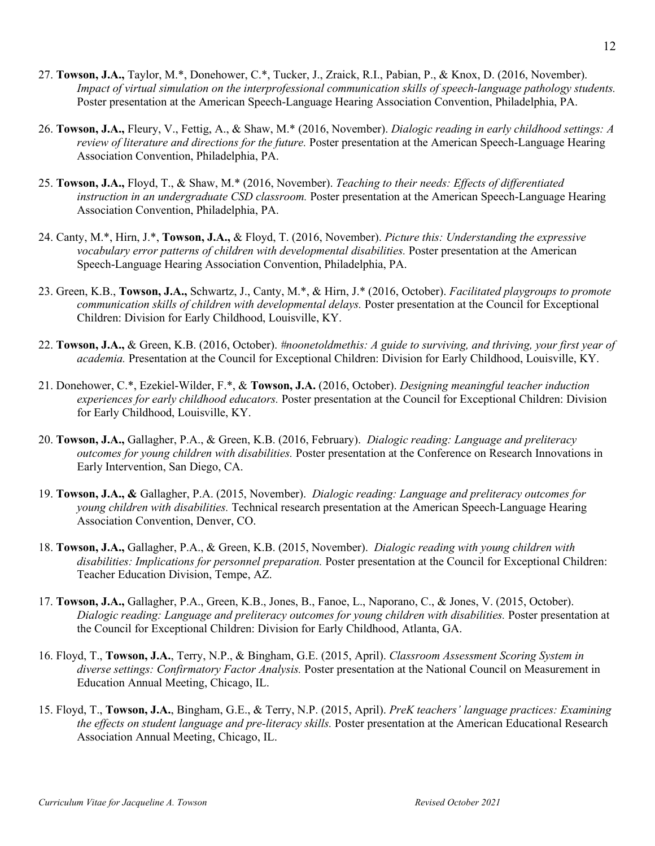- 27. **Towson, J.A.,** Taylor, M.\*, Donehower, C.\*, Tucker, J., Zraick, R.I., Pabian, P., & Knox, D. (2016, November). *Impact of virtual simulation on the interprofessional communication skills of speech-language pathology students.* Poster presentation at the American Speech-Language Hearing Association Convention, Philadelphia, PA.
- 26. **Towson, J.A.,** Fleury, V., Fettig, A., & Shaw, M.\* (2016, November). *Dialogic reading in early childhood settings: A review of literature and directions for the future.* Poster presentation at the American Speech-Language Hearing Association Convention, Philadelphia, PA.
- 25. **Towson, J.A.,** Floyd, T., & Shaw, M.\* (2016, November). *Teaching to their needs: Effects of differentiated instruction in an undergraduate CSD classroom.* Poster presentation at the American Speech-Language Hearing Association Convention, Philadelphia, PA.
- 24. Canty, M.\*, Hirn, J.\*, **Towson, J.A.,** & Floyd, T. (2016, November). *Picture this: Understanding the expressive vocabulary error patterns of children with developmental disabilities.* Poster presentation at the American Speech-Language Hearing Association Convention, Philadelphia, PA.
- 23. Green, K.B., **Towson, J.A.,** Schwartz, J., Canty, M.\*, & Hirn, J.\* (2016, October). *Facilitated playgroups to promote communication skills of children with developmental delays.* Poster presentation at the Council for Exceptional Children: Division for Early Childhood, Louisville, KY.
- 22. **Towson, J.A.,** & Green, K.B. (2016, October). *#noonetoldmethis: A guide to surviving, and thriving, your first year of academia.* Presentation at the Council for Exceptional Children: Division for Early Childhood, Louisville, KY.
- 21. Donehower, C.\*, Ezekiel-Wilder, F.\*, & **Towson, J.A.** (2016, October). *Designing meaningful teacher induction experiences for early childhood educators.* Poster presentation at the Council for Exceptional Children: Division for Early Childhood, Louisville, KY.
- 20. **Towson, J.A.,** Gallagher, P.A., & Green, K.B. (2016, February). *Dialogic reading: Language and preliteracy outcomes for young children with disabilities.* Poster presentation at the Conference on Research Innovations in Early Intervention, San Diego, CA.
- 19. **Towson, J.A., &** Gallagher, P.A. (2015, November). *Dialogic reading: Language and preliteracy outcomes for young children with disabilities.* Technical research presentation at the American Speech-Language Hearing Association Convention, Denver, CO.
- 18. **Towson, J.A.,** Gallagher, P.A., & Green, K.B. (2015, November). *Dialogic reading with young children with disabilities: Implications for personnel preparation.* Poster presentation at the Council for Exceptional Children: Teacher Education Division, Tempe, AZ.
- 17. **Towson, J.A.,** Gallagher, P.A., Green, K.B., Jones, B., Fanoe, L., Naporano, C., & Jones, V. (2015, October). *Dialogic reading: Language and preliteracy outcomes for young children with disabilities.* Poster presentation at the Council for Exceptional Children: Division for Early Childhood, Atlanta, GA.
- 16. Floyd, T., **Towson, J.A.**, Terry, N.P., & Bingham, G.E. (2015, April). *Classroom Assessment Scoring System in diverse settings: Confirmatory Factor Analysis.* Poster presentation at the National Council on Measurement in Education Annual Meeting, Chicago, IL.
- 15. Floyd, T., **Towson, J.A.**, Bingham, G.E., & Terry, N.P. (2015, April). *PreK teachers' language practices: Examining the effects on student language and pre-literacy skills.* Poster presentation at the American Educational Research Association Annual Meeting, Chicago, IL.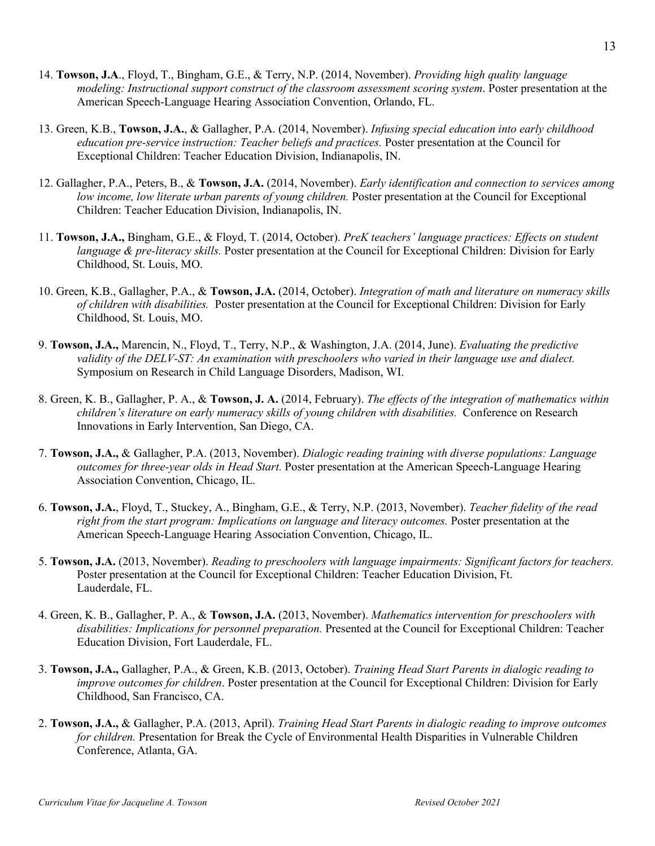- 14. **Towson, J.A**., Floyd, T., Bingham, G.E., & Terry, N.P. (2014, November). *Providing high quality language modeling: Instructional support construct of the classroom assessment scoring system*. Poster presentation at the American Speech-Language Hearing Association Convention, Orlando, FL.
- 13. Green, K.B., **Towson, J.A.**, & Gallagher, P.A. (2014, November). *Infusing special education into early childhood education pre-service instruction: Teacher beliefs and practices.* Poster presentation at the Council for Exceptional Children: Teacher Education Division, Indianapolis, IN.
- 12. Gallagher, P.A., Peters, B., & **Towson, J.A.** (2014, November). *Early identification and connection to services among low income, low literate urban parents of young children.* Poster presentation at the Council for Exceptional Children: Teacher Education Division, Indianapolis, IN.
- 11. **Towson, J.A.,** Bingham, G.E., & Floyd, T. (2014, October). *PreK teachers' language practices: Effects on student language & pre-literacy skills.* Poster presentation at the Council for Exceptional Children: Division for Early Childhood, St. Louis, MO.
- 10. Green, K.B., Gallagher, P.A., & **Towson, J.A.** (2014, October). *Integration of math and literature on numeracy skills of children with disabilities.* Poster presentation at the Council for Exceptional Children: Division for Early Childhood, St. Louis, MO.
- 9. **Towson, J.A.,** Marencin, N., Floyd, T., Terry, N.P., & Washington, J.A. (2014, June). *Evaluating the predictive validity of the DELV-ST: An examination with preschoolers who varied in their language use and dialect.*  Symposium on Research in Child Language Disorders, Madison, WI.
- 8. Green, K. B., Gallagher, P. A., & **Towson, J. A.** (2014, February). *The effects of the integration of mathematics within children's literature on early numeracy skills of young children with disabilities.* Conference on Research Innovations in Early Intervention, San Diego, CA.
- 7. **Towson, J.A.,** & Gallagher, P.A. (2013, November). *Dialogic reading training with diverse populations: Language outcomes for three-year olds in Head Start.* Poster presentation at the American Speech-Language Hearing Association Convention, Chicago, IL.
- 6. **Towson, J.A.**, Floyd, T., Stuckey, A., Bingham, G.E., & Terry, N.P. (2013, November). *Teacher fidelity of the read right from the start program: Implications on language and literacy outcomes.* Poster presentation at the American Speech-Language Hearing Association Convention, Chicago, IL.
- 5. **Towson, J.A.** (2013, November). *Reading to preschoolers with language impairments: Significant factors for teachers.*  Poster presentation at the Council for Exceptional Children: Teacher Education Division, Ft. Lauderdale, FL.
- 4. Green, K. B., Gallagher, P. A., & **Towson, J.A.** (2013, November). *Mathematics intervention for preschoolers with disabilities: Implications for personnel preparation.* Presented at the Council for Exceptional Children: Teacher Education Division, Fort Lauderdale, FL.
- 3. **Towson, J.A.,** Gallagher, P.A., & Green, K.B. (2013, October). *Training Head Start Parents in dialogic reading to improve outcomes for children*. Poster presentation at the Council for Exceptional Children: Division for Early Childhood, San Francisco, CA.
- 2. **Towson, J.A.,** & Gallagher, P.A. (2013, April). *Training Head Start Parents in dialogic reading to improve outcomes for children.* Presentation for Break the Cycle of Environmental Health Disparities in Vulnerable Children Conference, Atlanta, GA.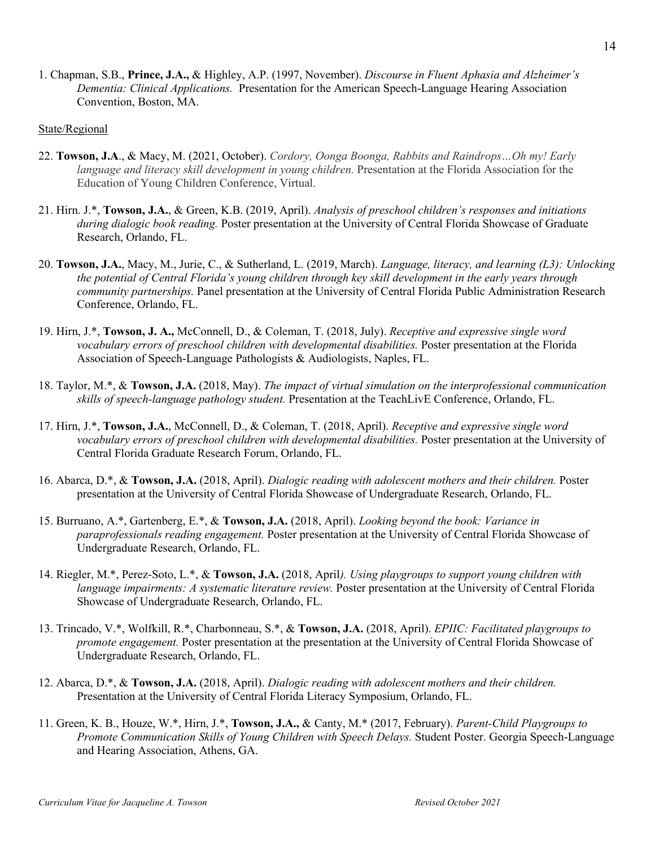1. Chapman, S.B., **Prince, J.A.,** & Highley, A.P. (1997, November). *Discourse in Fluent Aphasia and Alzheimer's Dementia: Clinical Applications.* Presentation for the American Speech-Language Hearing Association Convention, Boston, MA.

#### State/Regional

- 22. **Towson, J.A**., & Macy, M. (2021, October). *Cordory, Oonga Boonga, Rabbits and Raindrops…Oh my! Early language and literacy skill development in young children.* Presentation at the Florida Association for the Education of Young Children Conference, Virtual.
- 21. Hirn. J.\*, **Towson, J.A.**, & Green, K.B. (2019, April). *Analysis of preschool children's responses and initiations during dialogic book reading.* Poster presentation at the University of Central Florida Showcase of Graduate Research, Orlando, FL.
- 20. **Towson, J.A.**, Macy, M., Jurie, C., & Sutherland, L. (2019, March). *Language, literacy, and learning (L3): Unlocking the potential of Central Florida's young children through key skill development in the early years through community partnerships.* Panel presentation at the University of Central Florida Public Administration Research Conference, Orlando, FL.
- 19. Hirn, J.\*, **Towson, J. A.,** McConnell, D., & Coleman, T. (2018, July). *Receptive and expressive single word vocabulary errors of preschool children with developmental disabilities.* Poster presentation at the Florida Association of Speech-Language Pathologists & Audiologists, Naples, FL.
- 18. Taylor, M.\*, & **Towson, J.A.** (2018, May). *The impact of virtual simulation on the interprofessional communication skills of speech-language pathology student.* Presentation at the TeachLivE Conference, Orlando, FL.
- 17. Hirn, J.\*, **Towson, J.A.**, McConnell, D., & Coleman, T. (2018, April). *Receptive and expressive single word vocabulary errors of preschool children with developmental disabilities.* Poster presentation at the University of Central Florida Graduate Research Forum, Orlando, FL.
- 16. Abarca, D.\*, & **Towson, J.A.** (2018, April). *Dialogic reading with adolescent mothers and their children.* Poster presentation at the University of Central Florida Showcase of Undergraduate Research, Orlando, FL.
- 15. Burruano, A.\*, Gartenberg, E.\*, & **Towson, J.A.** (2018, April). *Looking beyond the book: Variance in paraprofessionals reading engagement.* Poster presentation at the University of Central Florida Showcase of Undergraduate Research, Orlando, FL.
- 14. Riegler, M.\*, Perez-Soto, L.\*, & **Towson, J.A.** (2018, April*). Using playgroups to support young children with language impairments: A systematic literature review.* Poster presentation at the University of Central Florida Showcase of Undergraduate Research, Orlando, FL.
- 13. Trincado, V.\*, Wolfkill, R.\*, Charbonneau, S.\*, & **Towson, J.A.** (2018, April). *EPIIC: Facilitated playgroups to promote engagement.* Poster presentation at the presentation at the University of Central Florida Showcase of Undergraduate Research, Orlando, FL.
- 12. Abarca, D.\*, & **Towson, J.A.** (2018, April). *Dialogic reading with adolescent mothers and their children.*  Presentation at the University of Central Florida Literacy Symposium, Orlando, FL.
- 11. Green, K. B., Houze, W.\*, Hirn, J.\*, **Towson, J.A.,** & Canty, M.\* (2017, February). *Parent-Child Playgroups to Promote Communication Skills of Young Children with Speech Delays.* Student Poster. Georgia Speech-Language and Hearing Association, Athens, GA.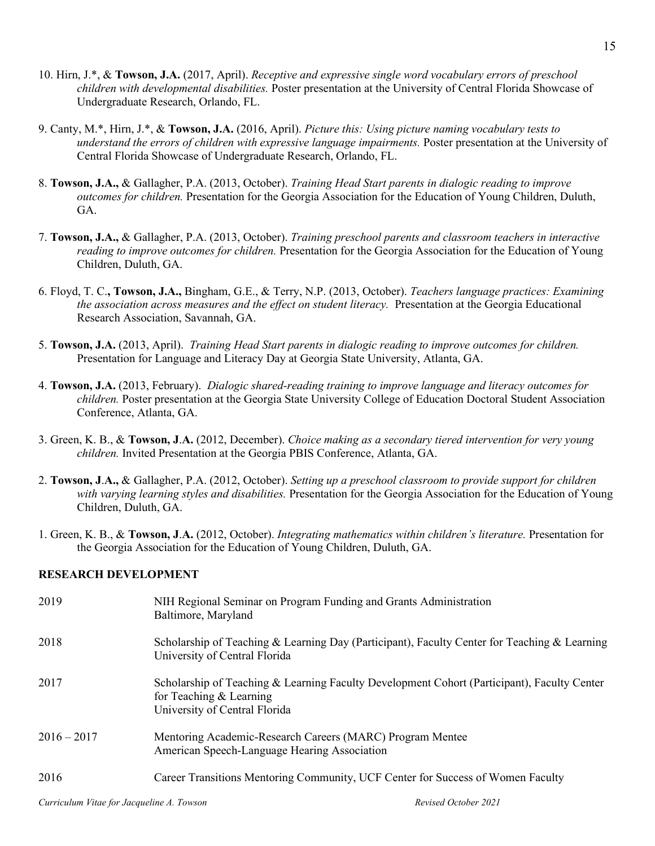- 10. Hirn, J.\*, & **Towson, J.A.** (2017, April). *Receptive and expressive single word vocabulary errors of preschool children with developmental disabilities.* Poster presentation at the University of Central Florida Showcase of Undergraduate Research, Orlando, FL.
- 9. Canty, M.\*, Hirn, J.\*, & **Towson, J.A.** (2016, April). *Picture this: Using picture naming vocabulary tests to understand the errors of children with expressive language impairments.* Poster presentation at the University of Central Florida Showcase of Undergraduate Research, Orlando, FL.
- 8. **Towson, J.A.,** & Gallagher, P.A. (2013, October). *Training Head Start parents in dialogic reading to improve outcomes for children.* Presentation for the Georgia Association for the Education of Young Children, Duluth, GA.
- 7. **Towson, J.A.,** & Gallagher, P.A. (2013, October). *Training preschool parents and classroom teachers in interactive reading to improve outcomes for children.* Presentation for the Georgia Association for the Education of Young Children, Duluth, GA.
- 6. Floyd, T. C.**, Towson, J.A.,** Bingham, G.E., & Terry, N.P. (2013, October). *Teachers language practices: Examining the association across measures and the effect on student literacy.* Presentation at the Georgia Educational Research Association, Savannah, GA.
- 5. **Towson, J.A.** (2013, April). *Training Head Start parents in dialogic reading to improve outcomes for children.*  Presentation for Language and Literacy Day at Georgia State University, Atlanta, GA.
- 4. **Towson, J.A.** (2013, February). *Dialogic shared-reading training to improve language and literacy outcomes for children.* Poster presentation at the Georgia State University College of Education Doctoral Student Association Conference, Atlanta, GA.
- 3. Green, K. B., & **Towson, J**.**A.** (2012, December). *Choice making as a secondary tiered intervention for very young children.* Invited Presentation at the Georgia PBIS Conference, Atlanta, GA.
- 2. **Towson, J**.**A.,** & Gallagher, P.A. (2012, October). *Setting up a preschool classroom to provide support for children with varying learning styles and disabilities.* Presentation for the Georgia Association for the Education of Young Children, Duluth, GA.
- 1. Green, K. B., & **Towson, J**.**A.** (2012, October). *Integrating mathematics within children's literature.* Presentation for the Georgia Association for the Education of Young Children, Duluth, GA.

#### **RESEARCH DEVELOPMENT**

| 2019          | NIH Regional Seminar on Program Funding and Grants Administration<br>Baltimore, Maryland                                                                  |
|---------------|-----------------------------------------------------------------------------------------------------------------------------------------------------------|
| 2018          | Scholarship of Teaching & Learning Day (Participant), Faculty Center for Teaching & Learning<br>University of Central Florida                             |
| 2017          | Scholarship of Teaching & Learning Faculty Development Cohort (Participant), Faculty Center<br>for Teaching $&$ Learning<br>University of Central Florida |
| $2016 - 2017$ | Mentoring Academic-Research Careers (MARC) Program Mentee<br>American Speech-Language Hearing Association                                                 |
| 2016          | Career Transitions Mentoring Community, UCF Center for Success of Women Faculty                                                                           |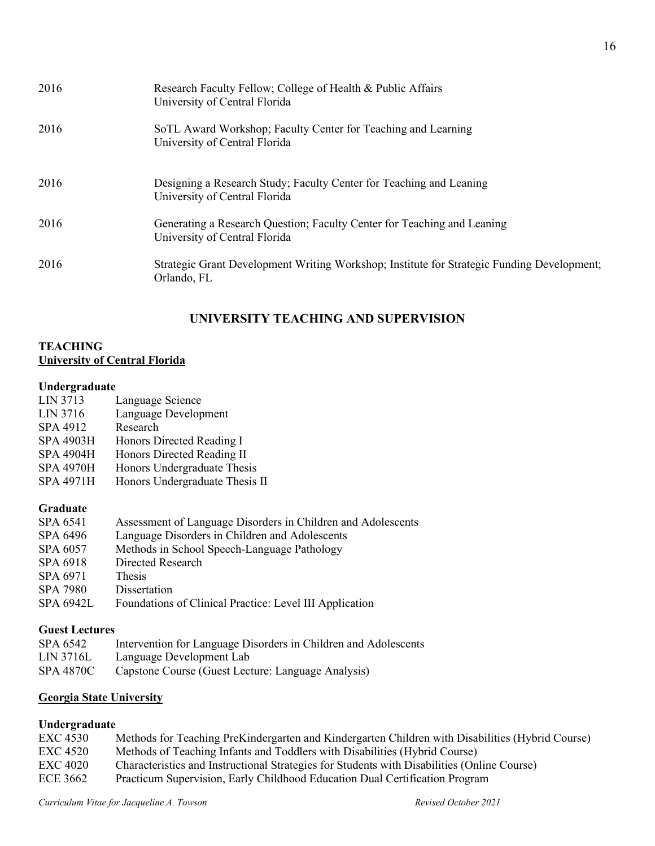| 2016 | Research Faculty Fellow; College of Health & Public Affairs<br>University of Central Florida              |
|------|-----------------------------------------------------------------------------------------------------------|
| 2016 | SoTL Award Workshop; Faculty Center for Teaching and Learning<br>University of Central Florida            |
| 2016 | Designing a Research Study; Faculty Center for Teaching and Leaning<br>University of Central Florida      |
| 2016 | Generating a Research Question; Faculty Center for Teaching and Leaning<br>University of Central Florida  |
| 2016 | Strategic Grant Development Writing Workshop; Institute for Strategic Funding Development;<br>Orlando, FL |

# **UNIVERSITY TEACHING AND SUPERVISION**

## **TEACHING University of Central Florida**

### **Undergraduate**

| LIN 3713         | Language Science               |
|------------------|--------------------------------|
| LIN 3716         | Language Development           |
| SPA 4912         | Research                       |
| <b>SPA 4903H</b> | Honors Directed Reading I      |
| <b>SPA 4904H</b> | Honors Directed Reading II     |
| <b>SPA 4970H</b> | Honors Undergraduate Thesis    |
| <b>SPA 4971H</b> | Honors Undergraduate Thesis II |
|                  |                                |

## **Graduate**

| SPA 6541         | Assessment of Language Disorders in Children and Adolescents |
|------------------|--------------------------------------------------------------|
| SPA 6496         | Language Disorders in Children and Adolescents               |
| SPA 6057         | Methods in School Speech-Language Pathology                  |
| SPA 6918         | Directed Research                                            |
| SPA 6971         | <b>Thesis</b>                                                |
| SPA 7980         | Dissertation                                                 |
| <b>SPA 6942L</b> | Foundations of Clinical Practice: Level III Application      |
|                  |                                                              |

## **Guest Lectures**

| SPA 6542  | Intervention for Language Disorders in Children and Adolescents |
|-----------|-----------------------------------------------------------------|
| LIN 3716L | Language Development Lab                                        |
| SPA 4870C | Capstone Course (Guest Lecture: Language Analysis)              |

# **Georgia State University**

## **Undergraduate**

| <b>EXC 4530</b> | Methods for Teaching PreKindergarten and Kindergarten Children with Disabilities (Hybrid Course) |
|-----------------|--------------------------------------------------------------------------------------------------|
| <b>EXC 4520</b> | Methods of Teaching Infants and Toddlers with Disabilities (Hybrid Course)                       |
| <b>EXC 4020</b> | Characteristics and Instructional Strategies for Students with Disabilities (Online Course)      |
| ECE 3662        | Practicum Supervision, Early Childhood Education Dual Certification Program                      |
|                 |                                                                                                  |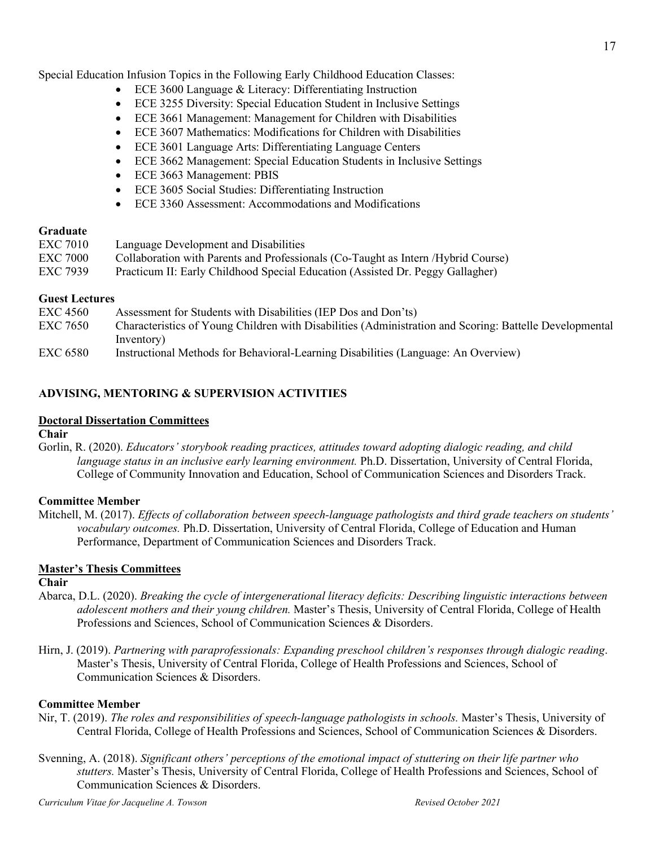- ECE 3600 Language & Literacy: Differentiating Instruction
- ECE 3255 Diversity: Special Education Student in Inclusive Settings
- ECE 3661 Management: Management for Children with Disabilities
- ECE 3607 Mathematics: Modifications for Children with Disabilities
- ECE 3601 Language Arts: Differentiating Language Centers
- ECE 3662 Management: Special Education Students in Inclusive Settings
- ECE 3663 Management: PBIS
- ECE 3605 Social Studies: Differentiating Instruction
- ECE 3360 Assessment: Accommodations and Modifications

### **Graduate**

| EXC 7010        | Language Development and Disabilities                                             |
|-----------------|-----------------------------------------------------------------------------------|
| <b>EXC 7000</b> | Collaboration with Parents and Professionals (Co-Taught as Intern /Hybrid Course) |
| <b>EXC 7939</b> | Practicum II: Early Childhood Special Education (Assisted Dr. Peggy Gallagher)    |

### **Guest Lectures**

| <b>EXC 4560</b> | Assessment for Students with Disabilities (IEP Dos and Don'ts)                                          |
|-----------------|---------------------------------------------------------------------------------------------------------|
| <b>EXC 7650</b> | Characteristics of Young Children with Disabilities (Administration and Scoring: Battelle Developmental |
|                 | (Inventory                                                                                              |
| <b>EXC 6580</b> | Instructional Methods for Behavioral-Learning Disabilities (Language: An Overview)                      |

## **ADVISING, MENTORING & SUPERVISION ACTIVITIES**

## **Doctoral Dissertation Committees**

**Chair**

Gorlin, R. (2020). *Educators' storybook reading practices, attitudes toward adopting dialogic reading, and child language status in an inclusive early learning environment.* Ph.D. Dissertation, University of Central Florida, College of Community Innovation and Education, School of Communication Sciences and Disorders Track.

## **Committee Member**

Mitchell, M. (2017). *Effects of collaboration between speech-language pathologists and third grade teachers on students' vocabulary outcomes.* Ph.D. Dissertation, University of Central Florida, College of Education and Human Performance, Department of Communication Sciences and Disorders Track.

## **Master's Thesis Committees**

## **Chair**

- Abarca, D.L. (2020). *Breaking the cycle of intergenerational literacy deficits: Describing linguistic interactions between adolescent mothers and their young children.* Master's Thesis, University of Central Florida, College of Health Professions and Sciences, School of Communication Sciences & Disorders.
- Hirn, J. (2019). *Partnering with paraprofessionals: Expanding preschool children's responses through dialogic reading*. Master's Thesis, University of Central Florida, College of Health Professions and Sciences, School of Communication Sciences & Disorders.

## **Committee Member**

- Nir, T. (2019). *The roles and responsibilities of speech-language pathologists in schools.* Master's Thesis, University of Central Florida, College of Health Professions and Sciences, School of Communication Sciences & Disorders.
- Svenning, A. (2018). *Significant others' perceptions of the emotional impact of stuttering on their life partner who stutters.* Master's Thesis, University of Central Florida, College of Health Professions and Sciences, School of Communication Sciences & Disorders.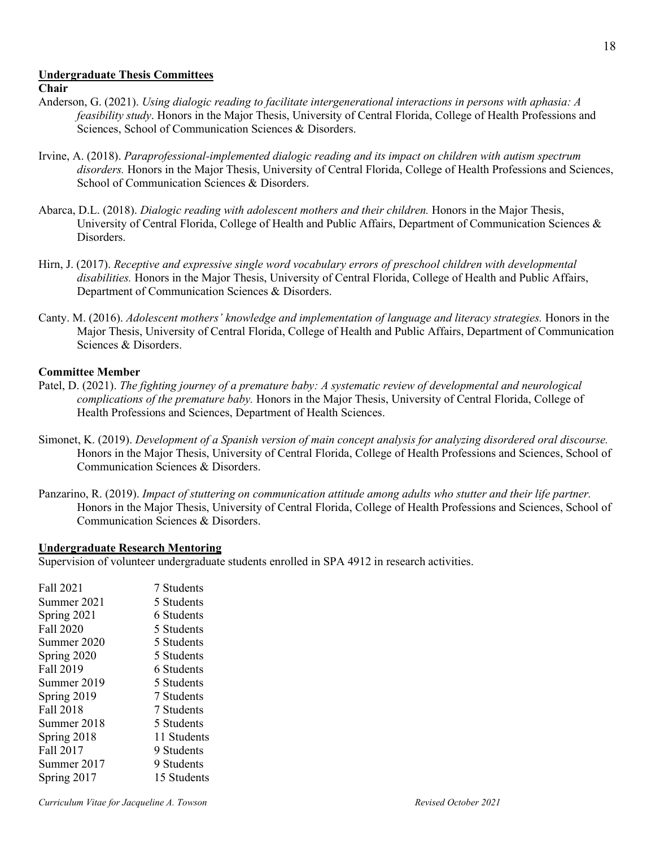#### **Undergraduate Thesis Committees**

#### **Chair**

- Anderson, G. (2021). *Using dialogic reading to facilitate intergenerational interactions in persons with aphasia: A feasibility study*. Honors in the Major Thesis, University of Central Florida, College of Health Professions and Sciences, School of Communication Sciences & Disorders.
- Irvine, A. (2018). *Paraprofessional-implemented dialogic reading and its impact on children with autism spectrum disorders.* Honors in the Major Thesis, University of Central Florida, College of Health Professions and Sciences, School of Communication Sciences & Disorders.
- Abarca, D.L. (2018). *Dialogic reading with adolescent mothers and their children.* Honors in the Major Thesis, University of Central Florida, College of Health and Public Affairs, Department of Communication Sciences & Disorders.
- Hirn, J. (2017). *Receptive and expressive single word vocabulary errors of preschool children with developmental disabilities.* Honors in the Major Thesis, University of Central Florida, College of Health and Public Affairs, Department of Communication Sciences & Disorders.
- Canty. M. (2016). *Adolescent mothers' knowledge and implementation of language and literacy strategies.* Honors in the Major Thesis, University of Central Florida, College of Health and Public Affairs, Department of Communication Sciences & Disorders.

#### **Committee Member**

- Patel, D. (2021). *The fighting journey of a premature baby: A systematic review of developmental and neurological complications of the premature baby.* Honors in the Major Thesis, University of Central Florida, College of Health Professions and Sciences, Department of Health Sciences.
- Simonet, K. (2019). *Development of a Spanish version of main concept analysis for analyzing disordered oral discourse.* Honors in the Major Thesis, University of Central Florida, College of Health Professions and Sciences, School of Communication Sciences & Disorders.
- Panzarino, R. (2019). *Impact of stuttering on communication attitude among adults who stutter and their life partner.*  Honors in the Major Thesis, University of Central Florida, College of Health Professions and Sciences, School of Communication Sciences & Disorders.

#### **Undergraduate Research Mentoring**

Supervision of volunteer undergraduate students enrolled in SPA 4912 in research activities.

Fall 2021 7 Students Summer 2021 5 Students Spring 2021 6 Students Fall 2020 5 Students Summer 2020 5 Students Spring 2020 5 Students<br>Fall 2019 6 Students 6 Students Summer 2019 5 Students Spring 2019 7 Students Fall 2018 7 Students Summer 2018 5 Students Spring 2018 11 Students Fall 2017 9 Students Summer 2017 9 Students Spring 2017 15 Students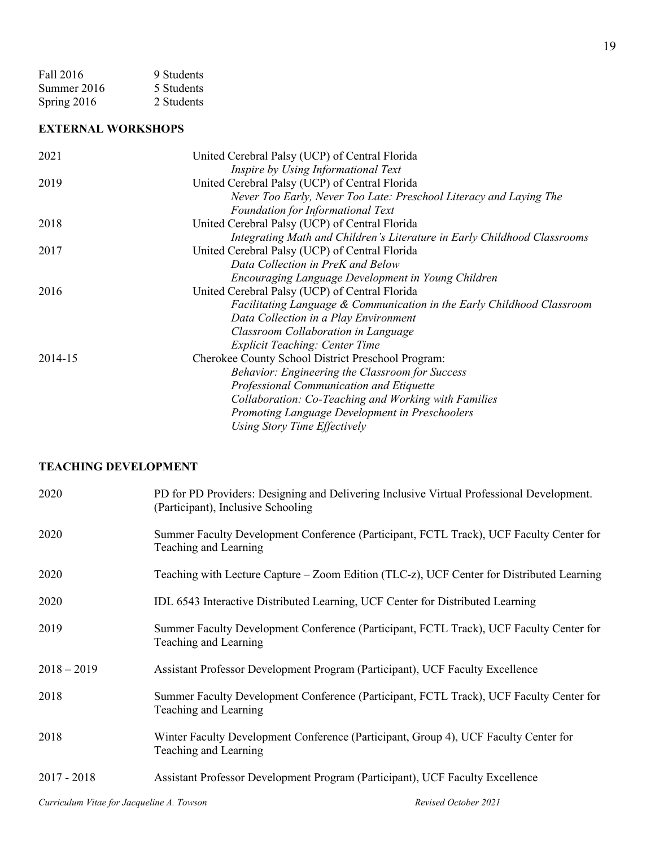| Fall 2016   | 9 Students |
|-------------|------------|
| Summer 2016 | 5 Students |
| Spring 2016 | 2 Students |

## **EXTERNAL WORKSHOPS**

| 2021    | United Cerebral Palsy (UCP) of Central Florida                           |
|---------|--------------------------------------------------------------------------|
|         | Inspire by Using Informational Text                                      |
| 2019    | United Cerebral Palsy (UCP) of Central Florida                           |
|         | Never Too Early, Never Too Late: Preschool Literacy and Laying The       |
|         | <b>Foundation for Informational Text</b>                                 |
| 2018    | United Cerebral Palsy (UCP) of Central Florida                           |
|         | Integrating Math and Children's Literature in Early Childhood Classrooms |
| 2017    | United Cerebral Palsy (UCP) of Central Florida                           |
|         | Data Collection in PreK and Below                                        |
|         | Encouraging Language Development in Young Children                       |
| 2016    | United Cerebral Palsy (UCP) of Central Florida                           |
|         | Facilitating Language & Communication in the Early Childhood Classroom   |
|         | Data Collection in a Play Environment                                    |
|         | Classroom Collaboration in Language                                      |
|         | <b>Explicit Teaching: Center Time</b>                                    |
| 2014-15 | Cherokee County School District Preschool Program:                       |
|         | <b>Behavior: Engineering the Classroom for Success</b>                   |
|         | Professional Communication and Etiquette                                 |
|         | Collaboration: Co-Teaching and Working with Families                     |
|         | Promoting Language Development in Preschoolers                           |
|         | Using Story Time Effectively                                             |

# **TEACHING DEVELOPMENT**

| 2020          | PD for PD Providers: Designing and Delivering Inclusive Virtual Professional Development.<br>(Participant), Inclusive Schooling |
|---------------|---------------------------------------------------------------------------------------------------------------------------------|
| 2020          | Summer Faculty Development Conference (Participant, FCTL Track), UCF Faculty Center for<br>Teaching and Learning                |
| 2020          | Teaching with Lecture Capture - Zoom Edition (TLC-z), UCF Center for Distributed Learning                                       |
| 2020          | IDL 6543 Interactive Distributed Learning, UCF Center for Distributed Learning                                                  |
| 2019          | Summer Faculty Development Conference (Participant, FCTL Track), UCF Faculty Center for<br>Teaching and Learning                |
| $2018 - 2019$ | Assistant Professor Development Program (Participant), UCF Faculty Excellence                                                   |
| 2018          | Summer Faculty Development Conference (Participant, FCTL Track), UCF Faculty Center for<br>Teaching and Learning                |
| 2018          | Winter Faculty Development Conference (Participant, Group 4), UCF Faculty Center for<br>Teaching and Learning                   |
| $2017 - 2018$ | Assistant Professor Development Program (Participant), UCF Faculty Excellence                                                   |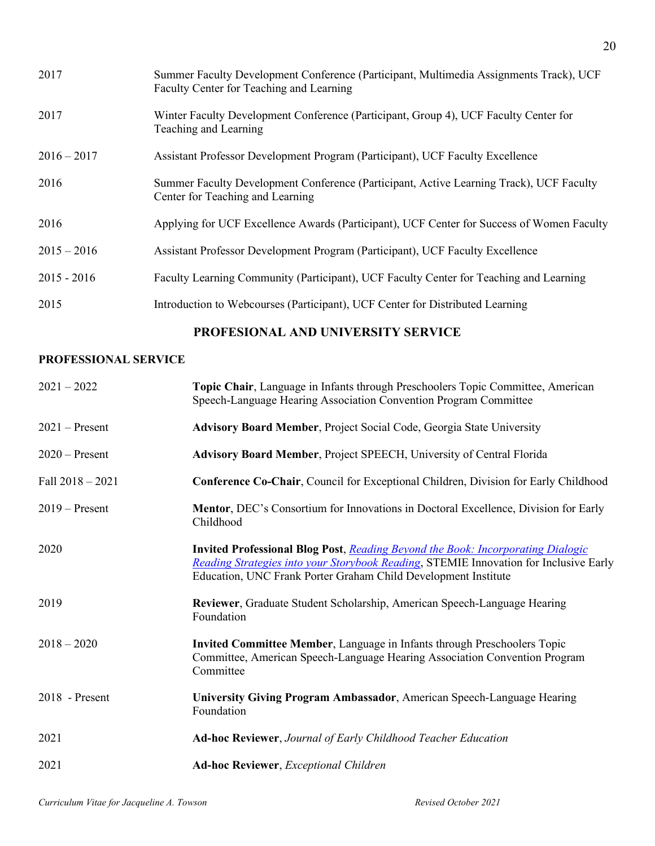| 2017          | Summer Faculty Development Conference (Participant, Multimedia Assignments Track), UCF<br>Faculty Center for Teaching and Learning |
|---------------|------------------------------------------------------------------------------------------------------------------------------------|
| 2017          | Winter Faculty Development Conference (Participant, Group 4), UCF Faculty Center for<br>Teaching and Learning                      |
| $2016 - 2017$ | Assistant Professor Development Program (Participant), UCF Faculty Excellence                                                      |
| 2016          | Summer Faculty Development Conference (Participant, Active Learning Track), UCF Faculty<br>Center for Teaching and Learning        |
| 2016          | Applying for UCF Excellence Awards (Participant), UCF Center for Success of Women Faculty                                          |
| $2015 - 2016$ | Assistant Professor Development Program (Participant), UCF Faculty Excellence                                                      |
| $2015 - 2016$ | Faculty Learning Community (Participant), UCF Faculty Center for Teaching and Learning                                             |
| 2015          | Introduction to Webcourses (Participant), UCF Center for Distributed Learning                                                      |

# **PROFESIONAL AND UNIVERSITY SERVICE**

## **PROFESSIONAL SERVICE**

| $2021 - 2022$      | Topic Chair, Language in Infants through Preschoolers Topic Committee, American<br>Speech-Language Hearing Association Convention Program Committee                                                                                               |
|--------------------|---------------------------------------------------------------------------------------------------------------------------------------------------------------------------------------------------------------------------------------------------|
| $2021 -$ Present   | <b>Advisory Board Member, Project Social Code, Georgia State University</b>                                                                                                                                                                       |
| $2020$ – Present   | Advisory Board Member, Project SPEECH, University of Central Florida                                                                                                                                                                              |
| Fall $2018 - 2021$ | <b>Conference Co-Chair, Council for Exceptional Children, Division for Early Childhood</b>                                                                                                                                                        |
| $2019 -$ Present   | <b>Mentor, DEC's Consortium for Innovations in Doctoral Excellence, Division for Early</b><br>Childhood                                                                                                                                           |
| 2020               | <b>Invited Professional Blog Post, Reading Beyond the Book: Incorporating Dialogic</b><br>Reading Strategies into your Storybook Reading, STEMIE Innovation for Inclusive Early<br>Education, UNC Frank Porter Graham Child Development Institute |
| 2019               | Reviewer, Graduate Student Scholarship, American Speech-Language Hearing<br>Foundation                                                                                                                                                            |
| $2018 - 2020$      | Invited Committee Member, Language in Infants through Preschoolers Topic<br>Committee, American Speech-Language Hearing Association Convention Program<br>Committee                                                                               |
| 2018 - Present     | University Giving Program Ambassador, American Speech-Language Hearing<br>Foundation                                                                                                                                                              |
| 2021               | <b>Ad-hoc Reviewer, Journal of Early Childhood Teacher Education</b>                                                                                                                                                                              |
| 2021               | <b>Ad-hoc Reviewer</b> , Exceptional Children                                                                                                                                                                                                     |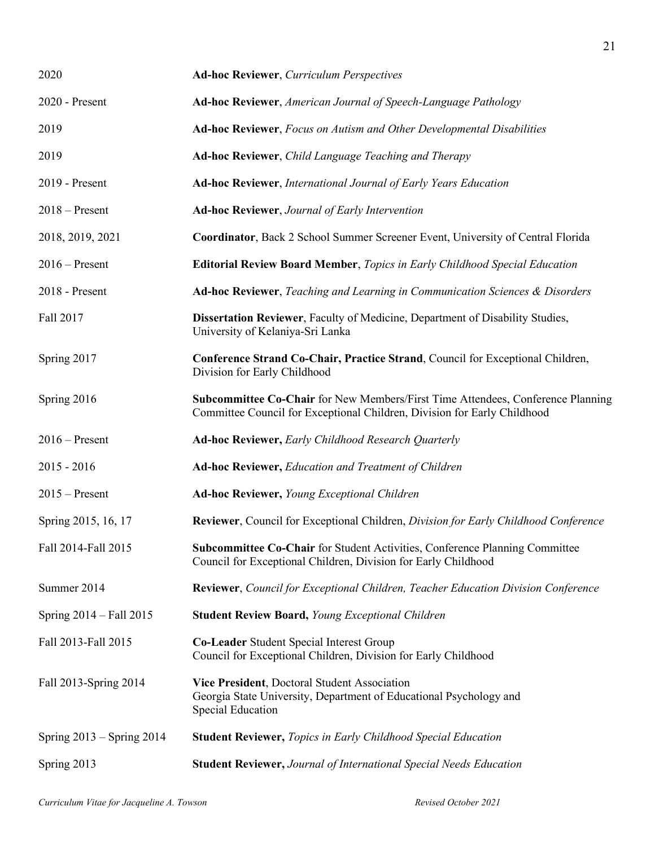| 2020                          | <b>Ad-hoc Reviewer, Curriculum Perspectives</b>                                                                                                             |
|-------------------------------|-------------------------------------------------------------------------------------------------------------------------------------------------------------|
| 2020 - Present                | Ad-hoc Reviewer, American Journal of Speech-Language Pathology                                                                                              |
| 2019                          | Ad-hoc Reviewer, Focus on Autism and Other Developmental Disabilities                                                                                       |
| 2019                          | Ad-hoc Reviewer, Child Language Teaching and Therapy                                                                                                        |
| 2019 - Present                | <b>Ad-hoc Reviewer, International Journal of Early Years Education</b>                                                                                      |
| $2018 -$ Present              | <b>Ad-hoc Reviewer, Journal of Early Intervention</b>                                                                                                       |
| 2018, 2019, 2021              | Coordinator, Back 2 School Summer Screener Event, University of Central Florida                                                                             |
| $2016$ – Present              | <b>Editorial Review Board Member, Topics in Early Childhood Special Education</b>                                                                           |
| 2018 - Present                | Ad-hoc Reviewer, Teaching and Learning in Communication Sciences & Disorders                                                                                |
| Fall 2017                     | Dissertation Reviewer, Faculty of Medicine, Department of Disability Studies,<br>University of Kelaniya-Sri Lanka                                           |
| Spring 2017                   | Conference Strand Co-Chair, Practice Strand, Council for Exceptional Children,<br>Division for Early Childhood                                              |
| Spring 2016                   | Subcommittee Co-Chair for New Members/First Time Attendees, Conference Planning<br>Committee Council for Exceptional Children, Division for Early Childhood |
| $2016$ – Present              | <b>Ad-hoc Reviewer, Early Childhood Research Quarterly</b>                                                                                                  |
| $2015 - 2016$                 | Ad-hoc Reviewer, Education and Treatment of Children                                                                                                        |
| $2015$ – Present              | <b>Ad-hoc Reviewer, Young Exceptional Children</b>                                                                                                          |
| Spring 2015, 16, 17           | <b>Reviewer</b> , Council for Exceptional Children, <i>Division for Early Childhood Conference</i>                                                          |
| Fall 2014-Fall 2015           | Subcommittee Co-Chair for Student Activities, Conference Planning Committee<br>Council for Exceptional Children, Division for Early Childhood               |
| Summer 2014                   | Reviewer, Council for Exceptional Children, Teacher Education Division Conference                                                                           |
| Spring 2014 – Fall 2015       | <b>Student Review Board, Young Exceptional Children</b>                                                                                                     |
| Fall 2013-Fall 2015           | Co-Leader Student Special Interest Group<br>Council for Exceptional Children, Division for Early Childhood                                                  |
| Fall 2013-Spring 2014         | Vice President, Doctoral Student Association<br>Georgia State University, Department of Educational Psychology and<br>Special Education                     |
| Spring $2013 -$ Spring $2014$ | <b>Student Reviewer, Topics in Early Childhood Special Education</b>                                                                                        |
| Spring 2013                   | <b>Student Reviewer, Journal of International Special Needs Education</b>                                                                                   |

21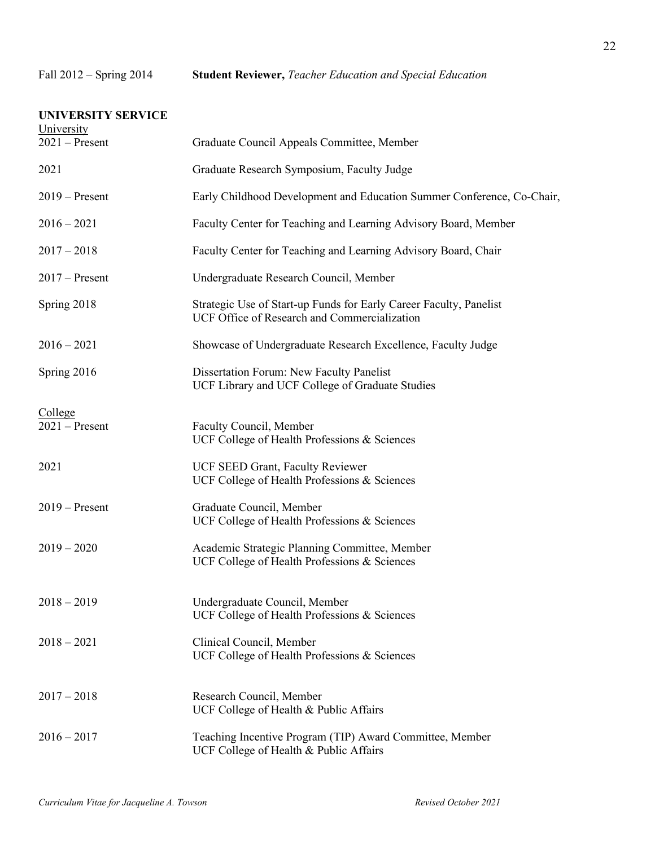| <b>UNIVERSITY SERVICE</b><br>University |                                                                                                                    |
|-----------------------------------------|--------------------------------------------------------------------------------------------------------------------|
| $2021 -$ Present                        | Graduate Council Appeals Committee, Member                                                                         |
| 2021                                    | Graduate Research Symposium, Faculty Judge                                                                         |
| $2019$ – Present                        | Early Childhood Development and Education Summer Conference, Co-Chair,                                             |
| $2016 - 2021$                           | Faculty Center for Teaching and Learning Advisory Board, Member                                                    |
| $2017 - 2018$                           | Faculty Center for Teaching and Learning Advisory Board, Chair                                                     |
| $2017 -$ Present                        | Undergraduate Research Council, Member                                                                             |
| Spring 2018                             | Strategic Use of Start-up Funds for Early Career Faculty, Panelist<br>UCF Office of Research and Commercialization |
| $2016 - 2021$                           | Showcase of Undergraduate Research Excellence, Faculty Judge                                                       |
| Spring 2016                             | Dissertation Forum: New Faculty Panelist<br>UCF Library and UCF College of Graduate Studies                        |
| College<br>$2021 -$ Present             | Faculty Council, Member<br>UCF College of Health Professions & Sciences                                            |
| 2021                                    | UCF SEED Grant, Faculty Reviewer<br>UCF College of Health Professions & Sciences                                   |
| $2019$ – Present                        | Graduate Council, Member<br>UCF College of Health Professions & Sciences                                           |
| $2019 - 2020$                           | Academic Strategic Planning Committee, Member<br>UCF College of Health Professions & Sciences                      |
| $2018 - 2019$                           | Undergraduate Council, Member<br>UCF College of Health Professions & Sciences                                      |
| $2018 - 2021$                           | Clinical Council, Member<br>UCF College of Health Professions & Sciences                                           |
| $2017 - 2018$                           | Research Council, Member<br>UCF College of Health & Public Affairs                                                 |
| $2016 - 2017$                           | Teaching Incentive Program (TIP) Award Committee, Member<br>UCF College of Health & Public Affairs                 |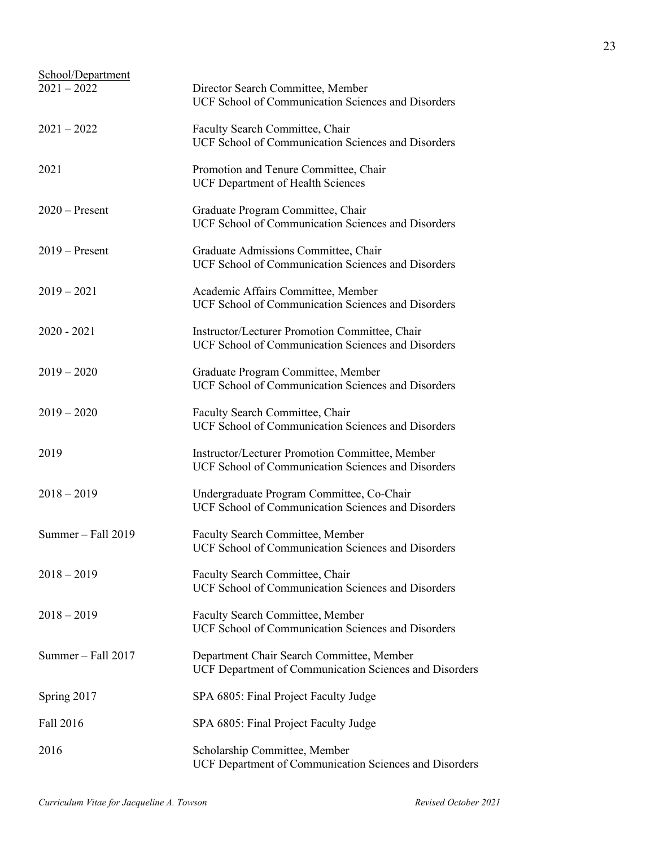| School/Department<br>$2021 - 2022$ | Director Search Committee, Member<br>UCF School of Communication Sciences and Disorders               |
|------------------------------------|-------------------------------------------------------------------------------------------------------|
| $2021 - 2022$                      | Faculty Search Committee, Chair<br>UCF School of Communication Sciences and Disorders                 |
| 2021                               | Promotion and Tenure Committee, Chair<br><b>UCF Department of Health Sciences</b>                     |
| $2020$ – Present                   | Graduate Program Committee, Chair<br>UCF School of Communication Sciences and Disorders               |
| $2019 -$ Present                   | Graduate Admissions Committee, Chair<br>UCF School of Communication Sciences and Disorders            |
| $2019 - 2021$                      | Academic Affairs Committee, Member<br>UCF School of Communication Sciences and Disorders              |
| $2020 - 2021$                      | Instructor/Lecturer Promotion Committee, Chair<br>UCF School of Communication Sciences and Disorders  |
| $2019 - 2020$                      | Graduate Program Committee, Member<br>UCF School of Communication Sciences and Disorders              |
| $2019 - 2020$                      | Faculty Search Committee, Chair<br>UCF School of Communication Sciences and Disorders                 |
| 2019                               | Instructor/Lecturer Promotion Committee, Member<br>UCF School of Communication Sciences and Disorders |
| $2018 - 2019$                      | Undergraduate Program Committee, Co-Chair<br>UCF School of Communication Sciences and Disorders       |
| Summer $-$ Fall 2019               | Faculty Search Committee, Member<br>UCF School of Communication Sciences and Disorders                |
| $2018 - 2019$                      | Faculty Search Committee, Chair<br><b>UCF School of Communication Sciences and Disorders</b>          |
| $2018 - 2019$                      | Faculty Search Committee, Member<br>UCF School of Communication Sciences and Disorders                |
| Summer $-$ Fall 2017               | Department Chair Search Committee, Member<br>UCF Department of Communication Sciences and Disorders   |
| Spring 2017                        | SPA 6805: Final Project Faculty Judge                                                                 |
| Fall 2016                          | SPA 6805: Final Project Faculty Judge                                                                 |
| 2016                               | Scholarship Committee, Member<br>UCF Department of Communication Sciences and Disorders               |